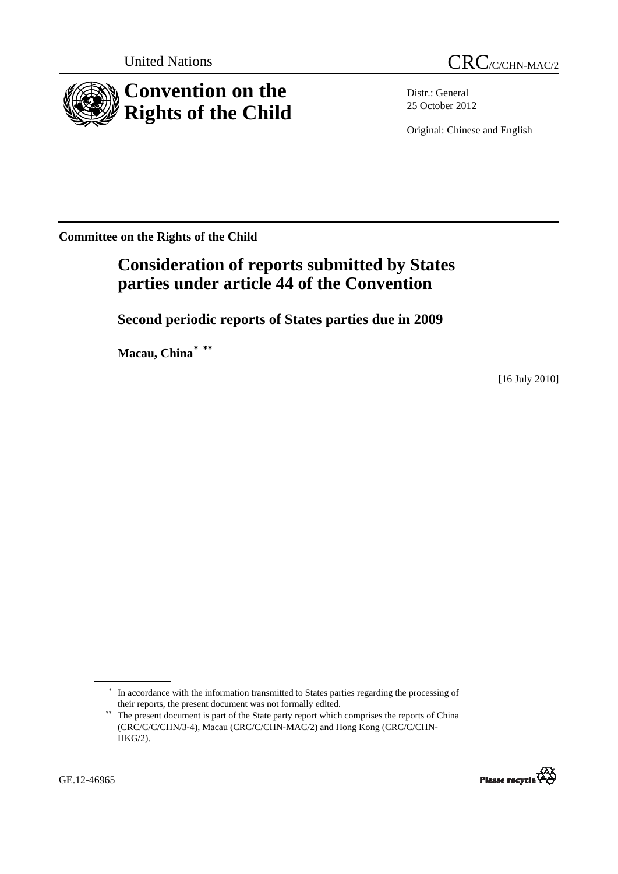

Distr.: General 25 October 2012

Original: Chinese and English

**Committee on the Rights of the Child** 

# **Consideration of reports submitted by States parties under article 44 of the Convention**

 **Second periodic reports of States parties due in 2009** 

 **Macau, China**[∗](#page-0-0) [∗∗](#page-0-1)

[16 July 2010]

<span id="page-0-1"></span><sup>\*\*</sup> The present document is part of the State party report which comprises the reports of China (CRC/C/C/CHN/3-4), Macau (CRC/C/CHN-MAC/2) and Hong Kong (CRC/C/CHN-HKG/2).



<span id="page-0-0"></span><sup>∗</sup> In accordance with the information transmitted to States parties regarding the processing of their reports, the present document was not formally edited.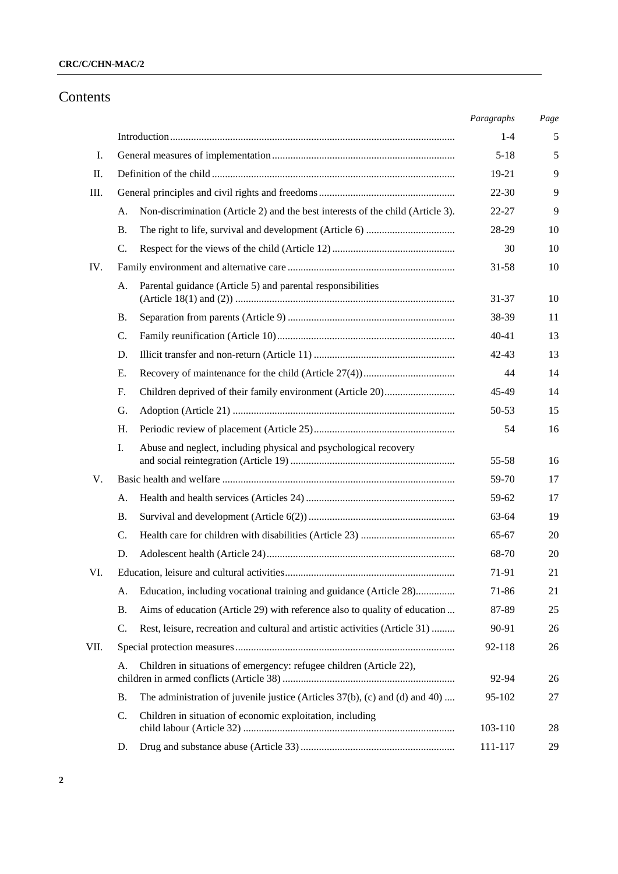# Contents

|      |                                                                                          | Paragraphs | Page |
|------|------------------------------------------------------------------------------------------|------------|------|
|      |                                                                                          | $1 - 4$    | 5    |
| I.   |                                                                                          | $5 - 18$   | 5    |
| Π.   |                                                                                          | 19-21      | 9    |
| Ш.   |                                                                                          | $22 - 30$  | 9    |
|      | Non-discrimination (Article 2) and the best interests of the child (Article 3).<br>А.    | 22-27      | 9    |
|      | <b>B.</b>                                                                                | 28-29      | 10   |
|      | C.                                                                                       | 30         | 10   |
| IV.  |                                                                                          | $31 - 58$  | 10   |
|      | Parental guidance (Article 5) and parental responsibilities<br>А.                        | 31-37      | 10   |
|      | В.                                                                                       | 38-39      | 11   |
|      | $\mathcal{C}$ .                                                                          | $40 - 41$  | 13   |
|      | D.                                                                                       | $42 - 43$  | 13   |
|      | Ε.                                                                                       | 44         | 14   |
|      | F <sub>r</sub>                                                                           | 45-49      | 14   |
|      | G.                                                                                       | 50-53      | 15   |
|      | H.                                                                                       | 54         | 16   |
|      | Abuse and neglect, including physical and psychological recovery<br>I.                   | 55-58      | 16   |
| V.   |                                                                                          | 59-70      | 17   |
|      | А.                                                                                       | 59-62      | 17   |
|      | <b>B.</b>                                                                                | 63-64      | 19   |
|      | C.                                                                                       | 65-67      | 20   |
|      | D.                                                                                       | 68-70      | 20   |
| VI.  |                                                                                          | 71-91      | 21   |
|      | Education, including vocational training and guidance (Article 28)<br>А.                 | 71-86      | 21   |
|      | Aims of education (Article 29) with reference also to quality of education<br><b>B.</b>  | 87-89      | 25   |
|      | Rest, leisure, recreation and cultural and artistic activities (Article 31)<br>C.        | 90-91      | 26   |
| VII. |                                                                                          | 92-118     | 26   |
|      | Children in situations of emergency: refugee children (Article 22),<br>А.                | 92-94      | 26   |
|      | The administration of juvenile justice (Articles 37(b), (c) and (d) and 40)<br><b>B.</b> | 95-102     | 27   |
|      | C.<br>Children in situation of economic exploitation, including                          | 103-110    | 28   |
|      | D.                                                                                       | 111-117    | 29   |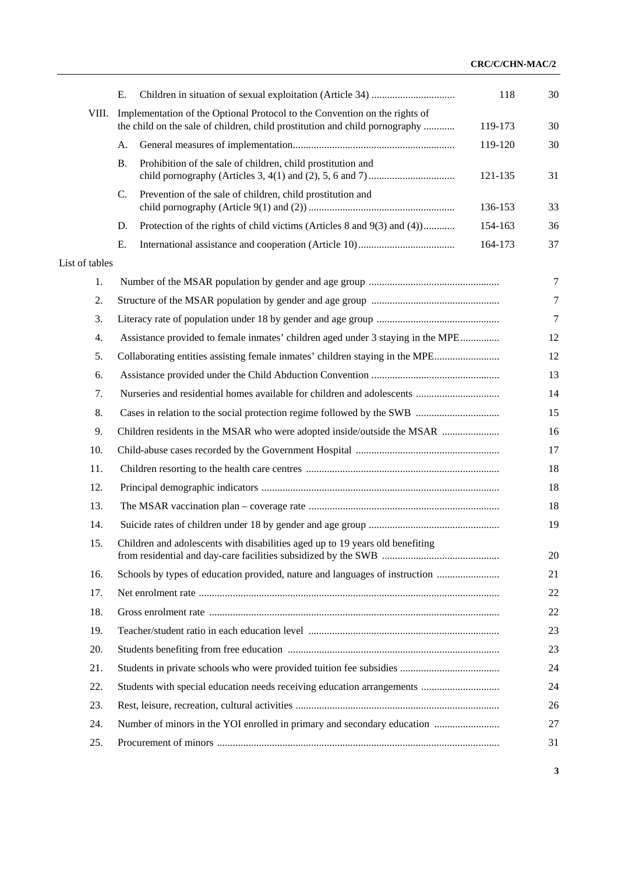|                |       | Е.              |                                                                                                                                                           | 118     | 30             |
|----------------|-------|-----------------|-----------------------------------------------------------------------------------------------------------------------------------------------------------|---------|----------------|
|                | VIII. |                 | Implementation of the Optional Protocol to the Convention on the rights of<br>the child on the sale of children, child prostitution and child pornography | 119-173 | 30             |
|                |       | A.              |                                                                                                                                                           | 119-120 | 30             |
|                |       | <b>B.</b>       | Prohibition of the sale of children, child prostitution and                                                                                               | 121-135 | 31             |
|                |       | $\mathcal{C}$ . | Prevention of the sale of children, child prostitution and                                                                                                | 136-153 | 33             |
|                |       | D.              | Protection of the rights of child victims (Articles 8 and 9(3) and (4)                                                                                    | 154-163 | 36             |
|                |       | E.              |                                                                                                                                                           | 164-173 | 37             |
| List of tables |       |                 |                                                                                                                                                           |         |                |
|                | 1.    |                 |                                                                                                                                                           |         | 7              |
|                | 2.    |                 |                                                                                                                                                           |         | $\tau$         |
|                | 3.    |                 |                                                                                                                                                           |         | $\overline{7}$ |
|                | 4.    |                 | Assistance provided to female inmates' children aged under 3 staying in the MPE                                                                           |         | 12             |
|                | 5.    |                 | Collaborating entities assisting female inmates' children staying in the MPE                                                                              |         | 12             |
|                | 6.    |                 |                                                                                                                                                           |         | 13             |
|                | 7.    |                 |                                                                                                                                                           |         | 14             |
|                | 8.    |                 |                                                                                                                                                           |         | 15             |
|                | 9.    |                 | Children residents in the MSAR who were adopted inside/outside the MSAR                                                                                   |         | 16             |
|                | 10.   |                 |                                                                                                                                                           |         | 17             |
|                | 11.   |                 |                                                                                                                                                           |         | 18             |
|                | 12.   |                 |                                                                                                                                                           |         | 18             |
|                | 13.   |                 |                                                                                                                                                           |         | 18             |
|                | 14.   |                 |                                                                                                                                                           |         | 19             |
|                | 15.   |                 | Children and adolescents with disabilities aged up to 19 years old benefiting                                                                             |         | 20             |
|                | 16.   |                 | Schools by types of education provided, nature and languages of instruction                                                                               |         | 21             |
|                | 17.   |                 |                                                                                                                                                           |         | 22             |
|                | 18.   |                 |                                                                                                                                                           |         | 22             |
|                | 19.   |                 |                                                                                                                                                           |         | 23             |
|                | 20.   |                 |                                                                                                                                                           |         | 23             |
|                | 21.   |                 |                                                                                                                                                           |         | 24             |
|                | 22.   |                 |                                                                                                                                                           |         | 24             |
|                | 23.   |                 |                                                                                                                                                           |         | 26             |
|                | 24.   |                 | Number of minors in the YOI enrolled in primary and secondary education                                                                                   |         | 27             |
|                | 25.   |                 |                                                                                                                                                           |         | 31             |
|                |       |                 |                                                                                                                                                           |         |                |

**3**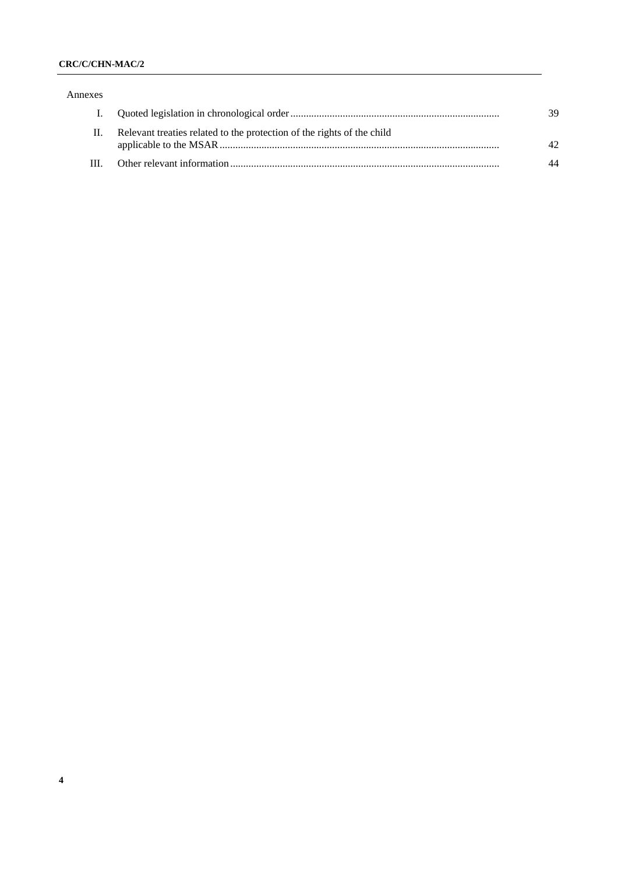# **CRC/C/CHN-MAC/2**

| Annexes |                                                                        |     |
|---------|------------------------------------------------------------------------|-----|
|         |                                                                        | 39  |
| H.      | Relevant treaties related to the protection of the rights of the child | 12. |
| Ш       |                                                                        |     |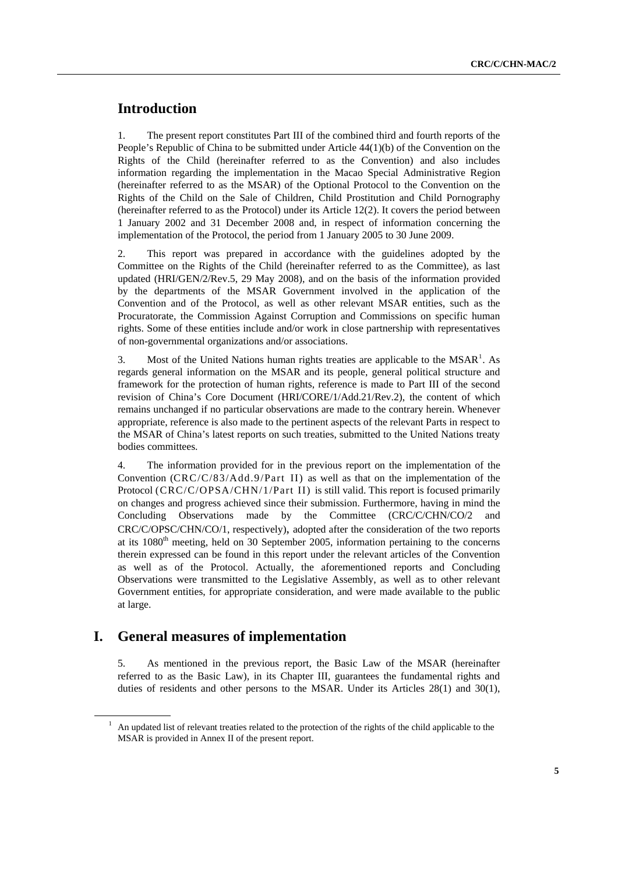# **Introduction**

1. The present report constitutes Part III of the combined third and fourth reports of the People's Republic of China to be submitted under Article 44(1)(b) of the Convention on the Rights of the Child (hereinafter referred to as the Convention) and also includes information regarding the implementation in the Macao Special Administrative Region (hereinafter referred to as the MSAR) of the Optional Protocol to the Convention on the Rights of the Child on the Sale of Children, Child Prostitution and Child Pornography (hereinafter referred to as the Protocol) under its Article 12(2). It covers the period between 1 January 2002 and 31 December 2008 and, in respect of information concerning the implementation of the Protocol, the period from 1 January 2005 to 30 June 2009.

2. This report was prepared in accordance with the guidelines adopted by the Committee on the Rights of the Child (hereinafter referred to as the Committee), as last updated (HRI/GEN/2/Rev.5, 29 May 2008), and on the basis of the information provided by the departments of the MSAR Government involved in the application of the Convention and of the Protocol, as well as other relevant MSAR entities, such as the Procuratorate, the Commission Against Corruption and Commissions on specific human rights. Some of these entities include and/or work in close partnership with representatives of non-governmental organizations and/or associations.

3. Most of the United Nations human rights treaties are applicable to the MSAR<sup>[1](#page-4-0)</sup>. As regards general information on the MSAR and its people, general political structure and framework for the protection of human rights, reference is made to Part III of the second revision of China's Core Document (HRI/CORE/1/Add.21/Rev.2), the content of which remains unchanged if no particular observations are made to the contrary herein. Whenever appropriate, reference is also made to the pertinent aspects of the relevant Parts in respect to the MSAR of China's latest reports on such treaties, submitted to the United Nations treaty bodies committees.

4. The information provided for in the previous report on the implementation of the Convention (CRC/C/83/Add.9/Part II) as well as that on the implementation of the Protocol (CRC/C/OPSA/CHN/1/Part II) is still valid. This report is focused primarily on changes and progress achieved since their submission. Furthermore, having in mind the Concluding Observations made by the Committee (CRC/C/CHN/CO/2 and CRC/C/OPSC/CHN/CO/1, respectively), adopted after the consideration of the two reports at its  $1080<sup>th</sup>$  meeting, held on 30 September 2005, information pertaining to the concerns therein expressed can be found in this report under the relevant articles of the Convention as well as of the Protocol. Actually, the aforementioned reports and Concluding Observations were transmitted to the Legislative Assembly, as well as to other relevant Government entities, for appropriate consideration, and were made available to the public at large.

# **I. General measures of implementation**

5. As mentioned in the previous report, the Basic Law of the MSAR (hereinafter referred to as the Basic Law), in its Chapter III, guarantees the fundamental rights and duties of residents and other persons to the MSAR. Under its Articles 28(1) and 30(1),

<span id="page-4-0"></span><sup>&</sup>lt;sup>1</sup> An updated list of relevant treaties related to the protection of the rights of the child applicable to the MSAR is provided in Annex II of the present report.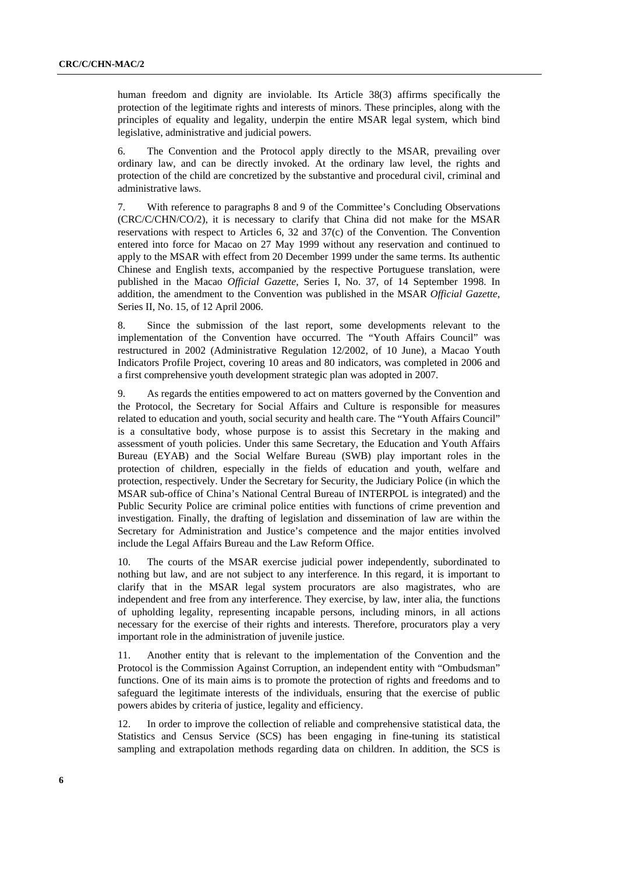human freedom and dignity are inviolable. Its Article 38(3) affirms specifically the protection of the legitimate rights and interests of minors. These principles, along with the principles of equality and legality, underpin the entire MSAR legal system, which bind legislative, administrative and judicial powers.

6. The Convention and the Protocol apply directly to the MSAR, prevailing over ordinary law, and can be directly invoked. At the ordinary law level, the rights and protection of the child are concretized by the substantive and procedural civil, criminal and administrative laws.

7. With reference to paragraphs 8 and 9 of the Committee's Concluding Observations (CRC/C/CHN/CO/2), it is necessary to clarify that China did not make for the MSAR reservations with respect to Articles 6, 32 and 37(c) of the Convention. The Convention entered into force for Macao on 27 May 1999 without any reservation and continued to apply to the MSAR with effect from 20 December 1999 under the same terms. Its authentic Chinese and English texts, accompanied by the respective Portuguese translation, were published in the Macao *Official Gazette*, Series I, No. 37, of 14 September 1998. In addition, the amendment to the Convention was published in the MSAR *Official Gazette*, Series II, No. 15, of 12 April 2006.

8. Since the submission of the last report, some developments relevant to the implementation of the Convention have occurred. The "Youth Affairs Council" was restructured in 2002 (Administrative Regulation 12/2002, of 10 June), a Macao Youth Indicators Profile Project, covering 10 areas and 80 indicators, was completed in 2006 and a first comprehensive youth development strategic plan was adopted in 2007.

9. As regards the entities empowered to act on matters governed by the Convention and the Protocol, the Secretary for Social Affairs and Culture is responsible for measures related to education and youth, social security and health care. The "Youth Affairs Council" is a consultative body, whose purpose is to assist this Secretary in the making and assessment of youth policies. Under this same Secretary, the Education and Youth Affairs Bureau (EYAB) and the Social Welfare Bureau (SWB) play important roles in the protection of children, especially in the fields of education and youth, welfare and protection, respectively. Under the Secretary for Security, the Judiciary Police (in which the MSAR sub-office of China's National Central Bureau of INTERPOL is integrated) and the Public Security Police are criminal police entities with functions of crime prevention and investigation. Finally, the drafting of legislation and dissemination of law are within the Secretary for Administration and Justice's competence and the major entities involved include the Legal Affairs Bureau and the Law Reform Office.

10. The courts of the MSAR exercise judicial power independently, subordinated to nothing but law, and are not subject to any interference. In this regard, it is important to clarify that in the MSAR legal system procurators are also magistrates, who are independent and free from any interference. They exercise, by law, inter alia, the functions of upholding legality, representing incapable persons, including minors, in all actions necessary for the exercise of their rights and interests. Therefore, procurators play a very important role in the administration of juvenile justice.

11. Another entity that is relevant to the implementation of the Convention and the Protocol is the Commission Against Corruption, an independent entity with "Ombudsman" functions. One of its main aims is to promote the protection of rights and freedoms and to safeguard the legitimate interests of the individuals, ensuring that the exercise of public powers abides by criteria of justice, legality and efficiency.

12. In order to improve the collection of reliable and comprehensive statistical data, the Statistics and Census Service (SCS) has been engaging in fine-tuning its statistical sampling and extrapolation methods regarding data on children. In addition, the SCS is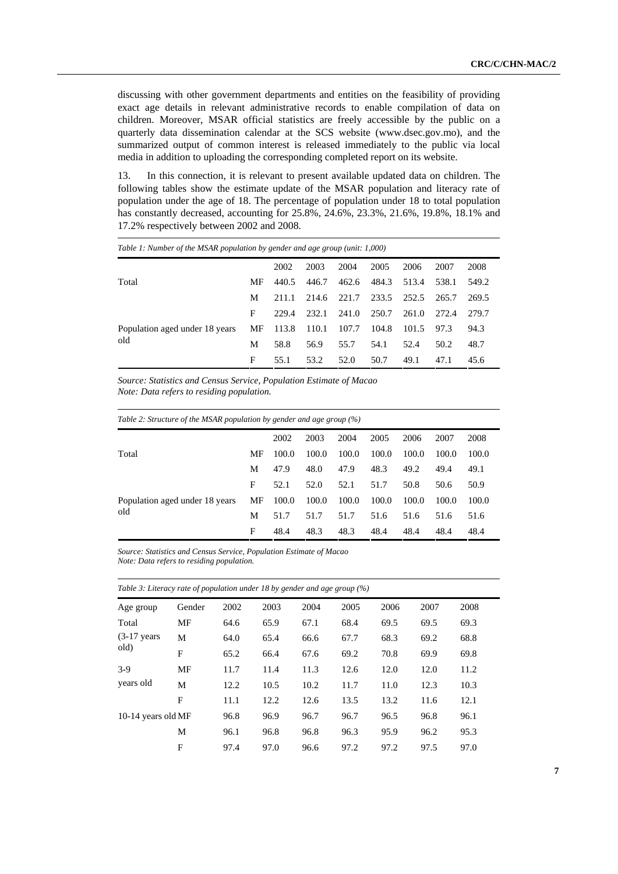discussing with other government departments and entities on the feasibility of providing exact age details in relevant administrative records to enable compilation of data on children. Moreover, MSAR official statistics are freely accessible by the public on a quarterly data dissemination calendar at the SCS website (www.dsec.gov.mo), and the summarized output of common interest is released immediately to the public via local media in addition to uploading the corresponding completed report on its website.

13. In this connection, it is relevant to present available updated data on children. The following tables show the estimate update of the MSAR population and literacy rate of population under the age of 18. The percentage of population under 18 to total population has constantly decreased, accounting for 25.8%, 24.6%, 23.3%, 21.6%, 19.8%, 18.1% and 17.2% respectively between 2002 and 2008.

| <i>Lable 1. Number 0f the MSAK population by genuer and age group (unit. 1,000)</i> |    |       |       |       |       |             |       |       |  |  |
|-------------------------------------------------------------------------------------|----|-------|-------|-------|-------|-------------|-------|-------|--|--|
|                                                                                     |    | 2002  | 2003  | 2004  | 2005  | 2006        | 2007  | 2008  |  |  |
| Total                                                                               | MF | 440.5 | 446.7 | 462.6 | 484.3 | 513.4       | 538.1 | 549.2 |  |  |
|                                                                                     | M  | 211.1 | 214.6 | 221.7 |       | 233.5 252.5 | 265.7 | 269.5 |  |  |
|                                                                                     | F  | 229.4 | 232.1 | 241.0 | 250.7 | 261.0       | 272.4 | 279.7 |  |  |
| Population aged under 18 years                                                      | MF | 113.8 | 110.1 | 107.7 | 104.8 | 101.5       | 97.3  | 94.3  |  |  |
| old                                                                                 | M  | 58.8  | 56.9  | 55.7  | 54.1  | 52.4        | 50.2  | 48.7  |  |  |
|                                                                                     | F  | 55.1  | 53.2  | 52.0  | 50.7  | 49.1        | 47.1  | 45.6  |  |  |

*Table 1: Number of the MSAR population by gender and age group (unit: 1,000)* 

*Source: Statistics and Census Service, Population Estimate of Macao Note: Data refers to residing population.* 

| Table 2: Structure of the MSAR population by gender and age group (%) |    |       |       |       |       |       |       |       |  |  |
|-----------------------------------------------------------------------|----|-------|-------|-------|-------|-------|-------|-------|--|--|
|                                                                       |    | 2002  | 2003  | 2004  | 2005  | 2006  | 2007  | 2008  |  |  |
| Total                                                                 | MF | 100.0 | 100.0 | 100.0 | 100.0 | 100.0 | 100.0 | 100.0 |  |  |
|                                                                       | М  | 47.9  | 48.0  | 47.9  | 48.3  | 49.2  | 49.4  | 49.1  |  |  |
|                                                                       | F  | 52.1  | 52.0  | 52.1  | 51.7  | 50.8  | 50.6  | 50.9  |  |  |
| Population aged under 18 years                                        | МF | 100.0 | 100.0 | 100.0 | 100.0 | 100.0 | 100.0 | 100.0 |  |  |
| old                                                                   | М  | 51.7  | 51.7  | 51.7  | 51.6  | 51.6  | 51.6  | 51.6  |  |  |
|                                                                       | F  | 48.4  | 48.3  | 48.3  | 48.4  | 48.4  | 48.4  | 48.4  |  |  |

*Source: Statistics and Census Service, Population Estimate of Macao Note: Data refers to residing population.* 

| Table 3: Literacy rate of population under 18 by gender and age group $(\%)$ |        |      |      |      |      |      |      |      |  |  |
|------------------------------------------------------------------------------|--------|------|------|------|------|------|------|------|--|--|
| Age group                                                                    | Gender | 2002 | 2003 | 2004 | 2005 | 2006 | 2007 | 2008 |  |  |
| Total                                                                        | MF     | 64.6 | 65.9 | 67.1 | 68.4 | 69.5 | 69.5 | 69.3 |  |  |
| $(3-17 \text{ years})$<br>old)                                               | М      | 64.0 | 65.4 | 66.6 | 67.7 | 68.3 | 69.2 | 68.8 |  |  |
|                                                                              | F      | 65.2 | 66.4 | 67.6 | 69.2 | 70.8 | 69.9 | 69.8 |  |  |
| $3-9$                                                                        | MF     | 11.7 | 11.4 | 11.3 | 12.6 | 12.0 | 12.0 | 11.2 |  |  |
| years old                                                                    | M      | 12.2 | 10.5 | 10.2 | 11.7 | 11.0 | 12.3 | 10.3 |  |  |
|                                                                              | F      | 11.1 | 12.2 | 12.6 | 13.5 | 13.2 | 11.6 | 12.1 |  |  |
| 10-14 years old MF                                                           |        | 96.8 | 96.9 | 96.7 | 96.7 | 96.5 | 96.8 | 96.1 |  |  |
|                                                                              | M      | 96.1 | 96.8 | 96.8 | 96.3 | 95.9 | 96.2 | 95.3 |  |  |
|                                                                              | F      | 97.4 | 97.0 | 96.6 | 97.2 | 97.2 | 97.5 | 97.0 |  |  |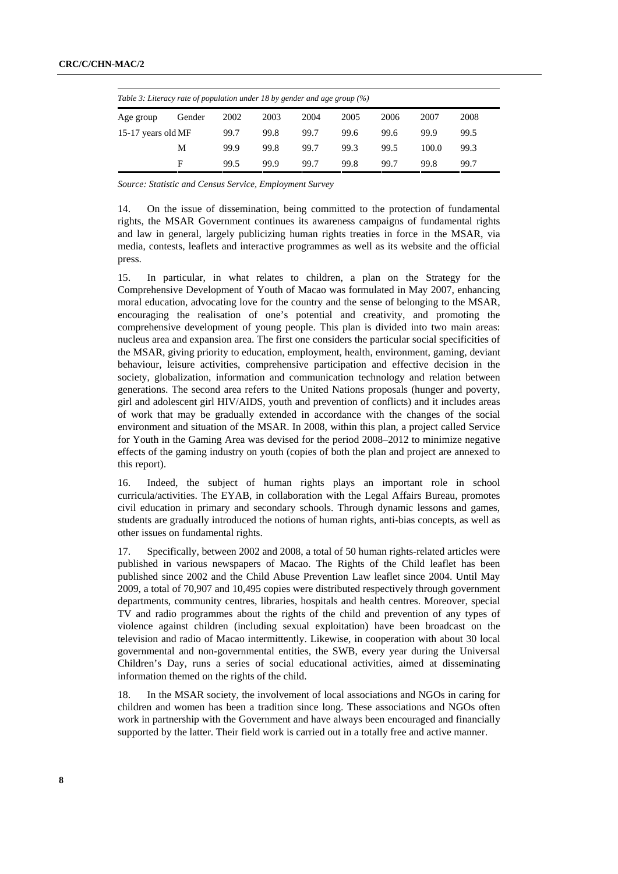| Table 3: Literacy rate of population under 18 by gender and age group $(\%)$ |        |      |      |      |      |      |       |      |
|------------------------------------------------------------------------------|--------|------|------|------|------|------|-------|------|
| Age group                                                                    | Gender | 2002 | 2003 | 2004 | 2005 | 2006 | 2007  | 2008 |
| 15-17 years old MF                                                           |        | 99.7 | 99.8 | 99.7 | 99.6 | 99.6 | 99.9  | 99.5 |
|                                                                              | М      | 99.9 | 99.8 | 99.7 | 99.3 | 99.5 | 100.0 | 99.3 |
|                                                                              | F      | 99.5 | 99.9 | 99.7 | 99.8 | 99.7 | 99.8  | 99.7 |

*Source: Statistic and Census Service, Employment Survey* 

14. On the issue of dissemination, being committed to the protection of fundamental rights, the MSAR Government continues its awareness campaigns of fundamental rights and law in general, largely publicizing human rights treaties in force in the MSAR, via media, contests, leaflets and interactive programmes as well as its website and the official press.

15. In particular, in what relates to children, a plan on the Strategy for the Comprehensive Development of Youth of Macao was formulated in May 2007, enhancing moral education, advocating love for the country and the sense of belonging to the MSAR, encouraging the realisation of one's potential and creativity, and promoting the comprehensive development of young people. This plan is divided into two main areas: nucleus area and expansion area. The first one considers the particular social specificities of the MSAR, giving priority to education, employment, health, environment, gaming, deviant behaviour, leisure activities, comprehensive participation and effective decision in the society, globalization, information and communication technology and relation between generations. The second area refers to the United Nations proposals (hunger and poverty, girl and adolescent girl HIV/AIDS, youth and prevention of conflicts) and it includes areas of work that may be gradually extended in accordance with the changes of the social environment and situation of the MSAR. In 2008, within this plan, a project called Service for Youth in the Gaming Area was devised for the period 2008–2012 to minimize negative effects of the gaming industry on youth (copies of both the plan and project are annexed to this report).

16. Indeed, the subject of human rights plays an important role in school curricula/activities. The EYAB, in collaboration with the Legal Affairs Bureau, promotes civil education in primary and secondary schools. Through dynamic lessons and games, students are gradually introduced the notions of human rights, anti-bias concepts, as well as other issues on fundamental rights.

17. Specifically, between 2002 and 2008, a total of 50 human rights-related articles were published in various newspapers of Macao. The Rights of the Child leaflet has been published since 2002 and the Child Abuse Prevention Law leaflet since 2004. Until May 2009, a total of 70,907 and 10,495 copies were distributed respectively through government departments, community centres, libraries, hospitals and health centres. Moreover, special TV and radio programmes about the rights of the child and prevention of any types of violence against children (including sexual exploitation) have been broadcast on the television and radio of Macao intermittently. Likewise, in cooperation with about 30 local governmental and non-governmental entities, the SWB, every year during the Universal Children's Day, runs a series of social educational activities, aimed at disseminating information themed on the rights of the child.

18. In the MSAR society, the involvement of local associations and NGOs in caring for children and women has been a tradition since long. These associations and NGOs often work in partnership with the Government and have always been encouraged and financially supported by the latter. Their field work is carried out in a totally free and active manner.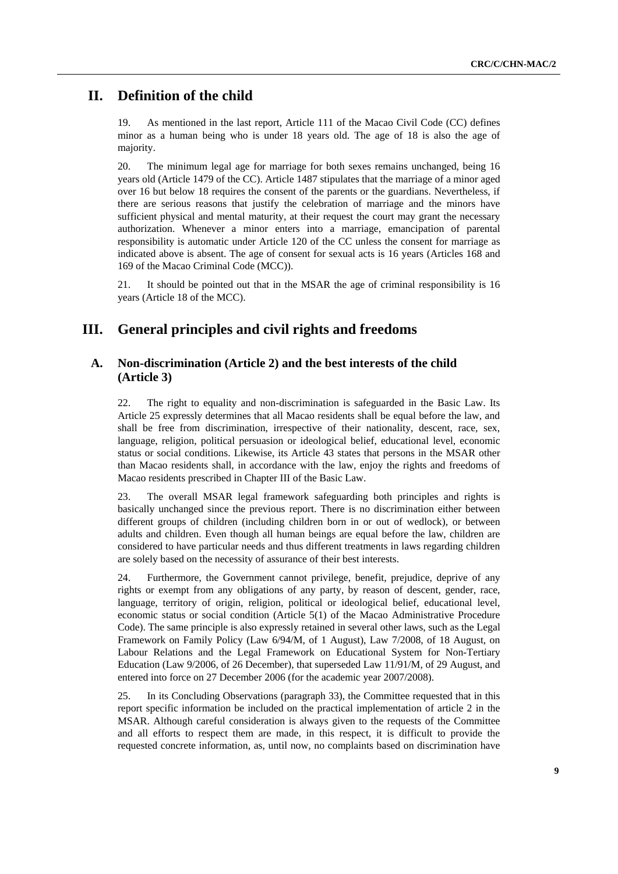# **II. Definition of the child**

19. As mentioned in the last report, Article 111 of the Macao Civil Code (CC) defines minor as a human being who is under 18 years old. The age of 18 is also the age of majority.

20. The minimum legal age for marriage for both sexes remains unchanged, being 16 years old (Article 1479 of the CC). Article 1487 stipulates that the marriage of a minor aged over 16 but below 18 requires the consent of the parents or the guardians. Nevertheless, if there are serious reasons that justify the celebration of marriage and the minors have sufficient physical and mental maturity, at their request the court may grant the necessary authorization. Whenever a minor enters into a marriage, emancipation of parental responsibility is automatic under Article 120 of the CC unless the consent for marriage as indicated above is absent. The age of consent for sexual acts is 16 years (Articles 168 and 169 of the Macao Criminal Code (MCC)).

21. It should be pointed out that in the MSAR the age of criminal responsibility is 16 years (Article 18 of the MCC).

# **III. General principles and civil rights and freedoms**

## **A. Non-discrimination (Article 2) and the best interests of the child (Article 3)**

22. The right to equality and non-discrimination is safeguarded in the Basic Law. Its Article 25 expressly determines that all Macao residents shall be equal before the law, and shall be free from discrimination, irrespective of their nationality, descent, race, sex, language, religion, political persuasion or ideological belief, educational level, economic status or social conditions. Likewise, its Article 43 states that persons in the MSAR other than Macao residents shall, in accordance with the law, enjoy the rights and freedoms of Macao residents prescribed in Chapter III of the Basic Law.

23. The overall MSAR legal framework safeguarding both principles and rights is basically unchanged since the previous report. There is no discrimination either between different groups of children (including children born in or out of wedlock), or between adults and children. Even though all human beings are equal before the law, children are considered to have particular needs and thus different treatments in laws regarding children are solely based on the necessity of assurance of their best interests.

24. Furthermore, the Government cannot privilege, benefit, prejudice, deprive of any rights or exempt from any obligations of any party, by reason of descent, gender, race, language, territory of origin, religion, political or ideological belief, educational level, economic status or social condition (Article 5(1) of the Macao Administrative Procedure Code). The same principle is also expressly retained in several other laws, such as the Legal Framework on Family Policy (Law 6/94/M, of 1 August), Law 7/2008, of 18 August, on Labour Relations and the Legal Framework on Educational System for Non-Tertiary Education (Law 9/2006, of 26 December), that superseded Law 11/91/M, of 29 August, and entered into force on 27 December 2006 (for the academic year 2007/2008).

25. In its Concluding Observations (paragraph 33), the Committee requested that in this report specific information be included on the practical implementation of article 2 in the MSAR. Although careful consideration is always given to the requests of the Committee and all efforts to respect them are made, in this respect, it is difficult to provide the requested concrete information, as, until now, no complaints based on discrimination have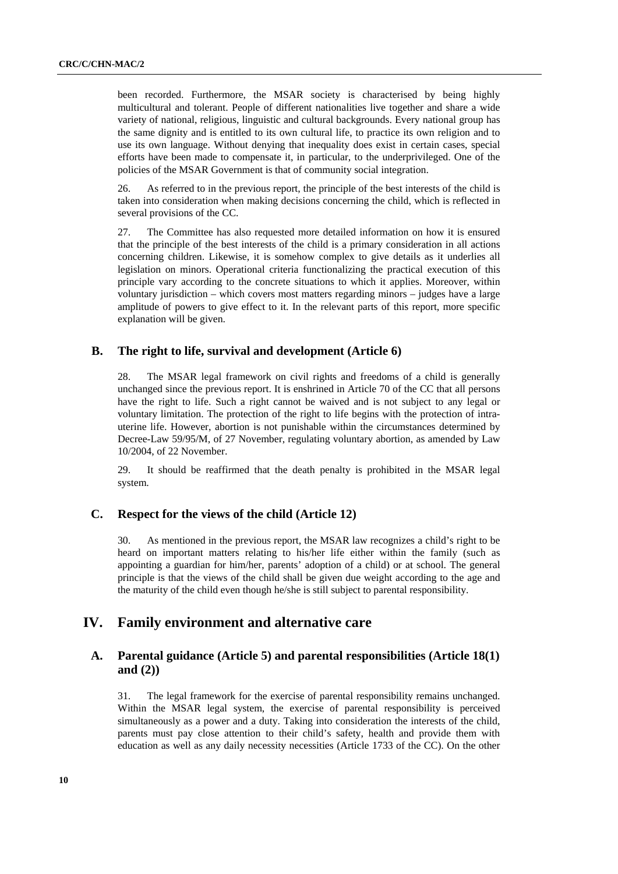been recorded. Furthermore, the MSAR society is characterised by being highly multicultural and tolerant. People of different nationalities live together and share a wide variety of national, religious, linguistic and cultural backgrounds. Every national group has the same dignity and is entitled to its own cultural life, to practice its own religion and to use its own language. Without denying that inequality does exist in certain cases, special efforts have been made to compensate it, in particular, to the underprivileged. One of the policies of the MSAR Government is that of community social integration.

26. As referred to in the previous report, the principle of the best interests of the child is taken into consideration when making decisions concerning the child, which is reflected in several provisions of the CC.

27. The Committee has also requested more detailed information on how it is ensured that the principle of the best interests of the child is a primary consideration in all actions concerning children. Likewise, it is somehow complex to give details as it underlies all legislation on minors. Operational criteria functionalizing the practical execution of this principle vary according to the concrete situations to which it applies. Moreover, within voluntary jurisdiction – which covers most matters regarding minors – judges have a large amplitude of powers to give effect to it. In the relevant parts of this report, more specific explanation will be given.

### **B. The right to life, survival and development (Article 6)**

28. The MSAR legal framework on civil rights and freedoms of a child is generally unchanged since the previous report. It is enshrined in Article 70 of the CC that all persons have the right to life. Such a right cannot be waived and is not subject to any legal or voluntary limitation. The protection of the right to life begins with the protection of intrauterine life. However, abortion is not punishable within the circumstances determined by Decree-Law 59/95/M, of 27 November, regulating voluntary abortion, as amended by Law 10/2004, of 22 November.

29. It should be reaffirmed that the death penalty is prohibited in the MSAR legal system.

#### **C. Respect for the views of the child (Article 12)**

30. As mentioned in the previous report, the MSAR law recognizes a child's right to be heard on important matters relating to his/her life either within the family (such as appointing a guardian for him/her, parents' adoption of a child) or at school. The general principle is that the views of the child shall be given due weight according to the age and the maturity of the child even though he/she is still subject to parental responsibility.

# **IV. Family environment and alternative care**

# **A. Parental guidance (Article 5) and parental responsibilities (Article 18(1) and (2))**

31. The legal framework for the exercise of parental responsibility remains unchanged. Within the MSAR legal system, the exercise of parental responsibility is perceived simultaneously as a power and a duty. Taking into consideration the interests of the child, parents must pay close attention to their child's safety, health and provide them with education as well as any daily necessity necessities (Article 1733 of the CC). On the other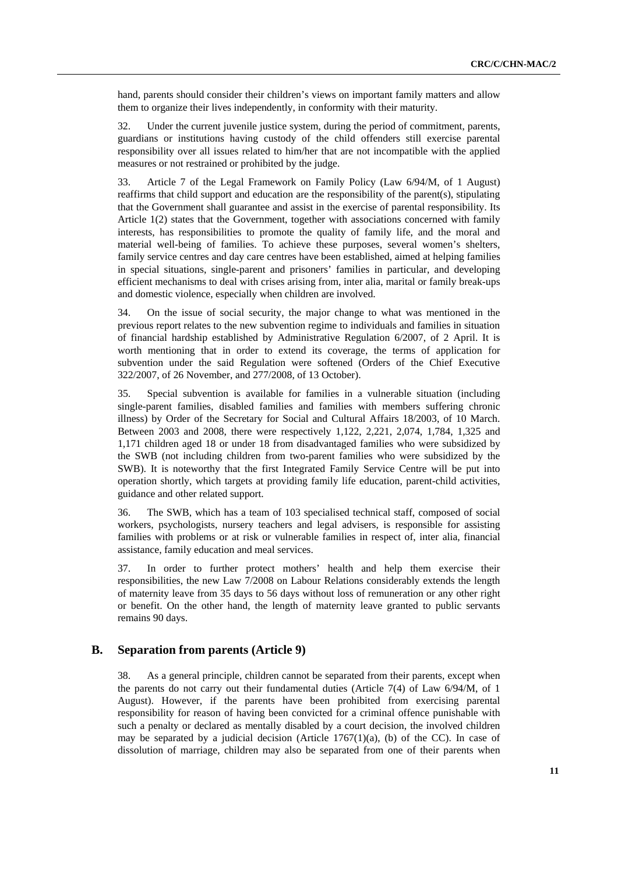hand, parents should consider their children's views on important family matters and allow them to organize their lives independently, in conformity with their maturity.

32. Under the current juvenile justice system, during the period of commitment, parents, guardians or institutions having custody of the child offenders still exercise parental responsibility over all issues related to him/her that are not incompatible with the applied measures or not restrained or prohibited by the judge.

33. Article 7 of the Legal Framework on Family Policy (Law 6/94/M, of 1 August) reaffirms that child support and education are the responsibility of the parent(s), stipulating that the Government shall guarantee and assist in the exercise of parental responsibility. Its Article 1(2) states that the Government, together with associations concerned with family interests, has responsibilities to promote the quality of family life, and the moral and material well-being of families. To achieve these purposes, several women's shelters, family service centres and day care centres have been established, aimed at helping families in special situations, single-parent and prisoners' families in particular, and developing efficient mechanisms to deal with crises arising from, inter alia, marital or family break-ups and domestic violence, especially when children are involved.

34. On the issue of social security, the major change to what was mentioned in the previous report relates to the new subvention regime to individuals and families in situation of financial hardship established by Administrative Regulation 6/2007, of 2 April. It is worth mentioning that in order to extend its coverage, the terms of application for subvention under the said Regulation were softened (Orders of the Chief Executive 322/2007, of 26 November, and 277/2008, of 13 October).

35. Special subvention is available for families in a vulnerable situation (including single-parent families, disabled families and families with members suffering chronic illness) by Order of the Secretary for Social and Cultural Affairs 18/2003, of 10 March. Between 2003 and 2008, there were respectively 1,122, 2,221, 2,074, 1,784, 1,325 and 1,171 children aged 18 or under 18 from disadvantaged families who were subsidized by the SWB (not including children from two-parent families who were subsidized by the SWB). It is noteworthy that the first Integrated Family Service Centre will be put into operation shortly, which targets at providing family life education, parent-child activities, guidance and other related support.

36. The SWB, which has a team of 103 specialised technical staff, composed of social workers, psychologists, nursery teachers and legal advisers, is responsible for assisting families with problems or at risk or vulnerable families in respect of, inter alia, financial assistance, family education and meal services.

37. In order to further protect mothers' health and help them exercise their responsibilities, the new Law 7/2008 on Labour Relations considerably extends the length of maternity leave from 35 days to 56 days without loss of remuneration or any other right or benefit. On the other hand, the length of maternity leave granted to public servants remains 90 days.

#### **B. Separation from parents (Article 9)**

38. As a general principle, children cannot be separated from their parents, except when the parents do not carry out their fundamental duties (Article 7(4) of Law 6/94/M, of 1 August). However, if the parents have been prohibited from exercising parental responsibility for reason of having been convicted for a criminal offence punishable with such a penalty or declared as mentally disabled by a court decision, the involved children may be separated by a judicial decision (Article  $1767(1)(a)$ , (b) of the CC). In case of dissolution of marriage, children may also be separated from one of their parents when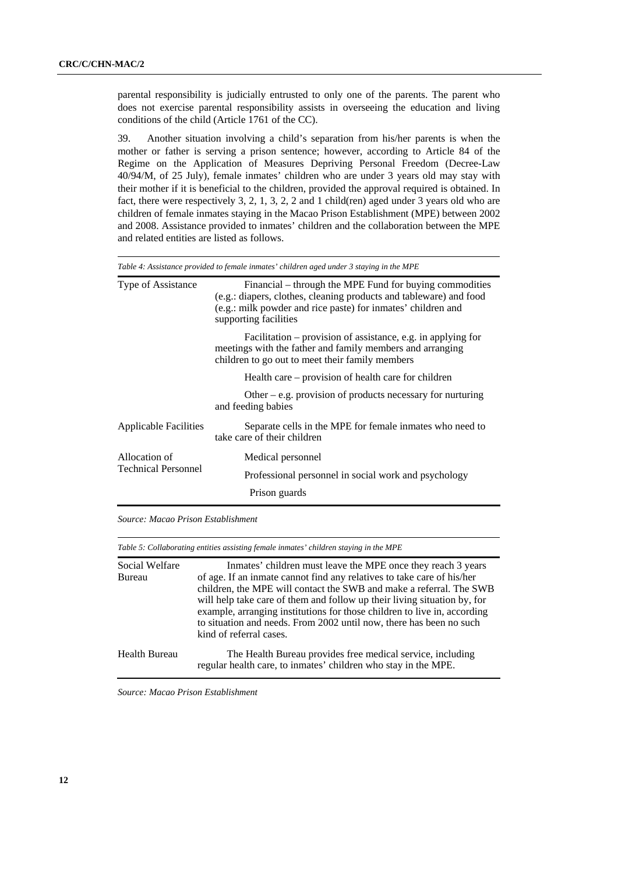parental responsibility is judicially entrusted to only one of the parents. The parent who does not exercise parental responsibility assists in overseeing the education and living conditions of the child (Article 1761 of the CC).

39. Another situation involving a child's separation from his/her parents is when the mother or father is serving a prison sentence; however, according to Article 84 of the Regime on the Application of Measures Depriving Personal Freedom (Decree-Law 40/94/M, of 25 July), female inmates' children who are under 3 years old may stay with their mother if it is beneficial to the children, provided the approval required is obtained. In fact, there were respectively 3, 2, 1, 3, 2, 2 and 1 child(ren) aged under 3 years old who are children of female inmates staying in the Macao Prison Establishment (MPE) between 2002 and 2008. Assistance provided to inmates' children and the collaboration between the MPE and related entities are listed as follows.

| Type of Assistance           | Financial – through the MPE Fund for buying commodities<br>(e.g.: diapers, clothes, cleaning products and tableware) and food<br>(e.g.: milk powder and rice paste) for inmates' children and<br>supporting facilities |
|------------------------------|------------------------------------------------------------------------------------------------------------------------------------------------------------------------------------------------------------------------|
|                              | Facilitation – provision of assistance, e.g. in applying for<br>meetings with the father and family members and arranging<br>children to go out to meet their family members                                           |
|                              | Health care – provision of health care for children                                                                                                                                                                    |
|                              | Other – e.g. provision of products necessary for nurturing<br>and feeding babies                                                                                                                                       |
| <b>Applicable Facilities</b> | Separate cells in the MPE for female inmates who need to<br>take care of their children                                                                                                                                |
| Allocation of                | Medical personnel                                                                                                                                                                                                      |
| <b>Technical Personnel</b>   | Professional personnel in social work and psychology                                                                                                                                                                   |
|                              | Prison guards                                                                                                                                                                                                          |

*Table 4: Assistance provided to female inmates' children aged under 3 staying in the MPE* 

*Source: Macao Prison Establishment* 

| Table 5: Collaborating entities assisting female inmates' children staying in the MPE |                                                                                                                                                                                                                                                                                                                                                                                                                                                                         |  |  |  |  |  |
|---------------------------------------------------------------------------------------|-------------------------------------------------------------------------------------------------------------------------------------------------------------------------------------------------------------------------------------------------------------------------------------------------------------------------------------------------------------------------------------------------------------------------------------------------------------------------|--|--|--|--|--|
| Social Welfare<br>Bureau                                                              | Inmates' children must leave the MPE once they reach 3 years<br>of age. If an inmate cannot find any relatives to take care of his/her<br>children, the MPE will contact the SWB and make a referral. The SWB<br>will help take care of them and follow up their living situation by, for<br>example, arranging institutions for those children to live in, according<br>to situation and needs. From 2002 until now, there has been no such<br>kind of referral cases. |  |  |  |  |  |
| <b>Health Bureau</b>                                                                  | The Health Bureau provides free medical service, including<br>regular health care, to inmates' children who stay in the MPE.                                                                                                                                                                                                                                                                                                                                            |  |  |  |  |  |

*Source: Macao Prison Establishment*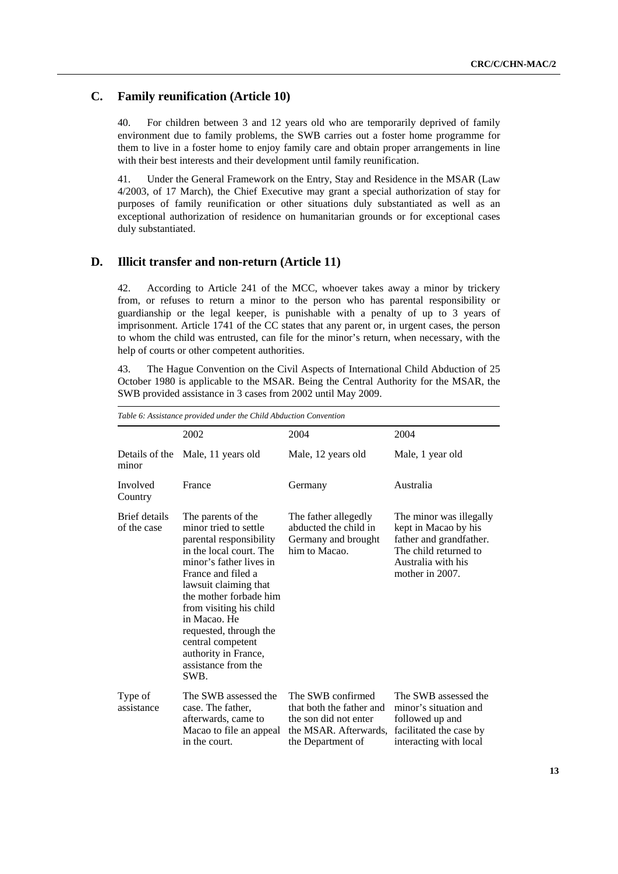# **C. Family reunification (Article 10)**

40. For children between 3 and 12 years old who are temporarily deprived of family environment due to family problems, the SWB carries out a foster home programme for them to live in a foster home to enjoy family care and obtain proper arrangements in line with their best interests and their development until family reunification.

41. Under the General Framework on the Entry, Stay and Residence in the MSAR (Law 4/2003, of 17 March), the Chief Executive may grant a special authorization of stay for purposes of family reunification or other situations duly substantiated as well as an exceptional authorization of residence on humanitarian grounds or for exceptional cases duly substantiated.

### **D. Illicit transfer and non-return (Article 11)**

42. According to Article 241 of the MCC, whoever takes away a minor by trickery from, or refuses to return a minor to the person who has parental responsibility or guardianship or the legal keeper, is punishable with a penalty of up to 3 years of imprisonment. Article 1741 of the CC states that any parent or, in urgent cases, the person to whom the child was entrusted, can file for the minor's return, when necessary, with the help of courts or other competent authorities.

43. The Hague Convention on the Civil Aspects of International Child Abduction of 25 October 1980 is applicable to the MSAR. Being the Central Authority for the MSAR, the SWB provided assistance in 3 cases from 2002 until May 2009.

| Table 6: Assistance provided under the Child Abduction Convention |                                                                                                                                                                                                                                                                                                                                                        |                                                                                                                      |                                                                                                                                              |  |  |  |  |  |
|-------------------------------------------------------------------|--------------------------------------------------------------------------------------------------------------------------------------------------------------------------------------------------------------------------------------------------------------------------------------------------------------------------------------------------------|----------------------------------------------------------------------------------------------------------------------|----------------------------------------------------------------------------------------------------------------------------------------------|--|--|--|--|--|
|                                                                   | 2002                                                                                                                                                                                                                                                                                                                                                   | 2004                                                                                                                 | 2004                                                                                                                                         |  |  |  |  |  |
| Details of the<br>minor                                           | Male, 11 years old                                                                                                                                                                                                                                                                                                                                     | Male, 12 years old                                                                                                   | Male, 1 year old                                                                                                                             |  |  |  |  |  |
| Involved<br>Country                                               | France                                                                                                                                                                                                                                                                                                                                                 | Germany                                                                                                              | Australia                                                                                                                                    |  |  |  |  |  |
| <b>Brief</b> details<br>of the case                               | The parents of the<br>minor tried to settle<br>parental responsibility<br>in the local court. The<br>minor's father lives in<br>France and filed a<br>lawsuit claiming that<br>the mother forbade him<br>from visiting his child<br>in Macao. He<br>requested, through the<br>central competent<br>authority in France,<br>assistance from the<br>SWB. | The father allegedly<br>abducted the child in<br>Germany and brought<br>him to Macao.                                | The minor was illegally<br>kept in Macao by his<br>father and grandfather.<br>The child returned to<br>Australia with his<br>mother in 2007. |  |  |  |  |  |
| Type of<br>assistance                                             | The SWB assessed the<br>case. The father,<br>afterwards, came to<br>Macao to file an appeal<br>in the court.                                                                                                                                                                                                                                           | The SWB confirmed<br>that both the father and<br>the son did not enter<br>the MSAR. Afterwards,<br>the Department of | The SWB assessed the<br>minor's situation and<br>followed up and<br>facilitated the case by<br>interacting with local                        |  |  |  |  |  |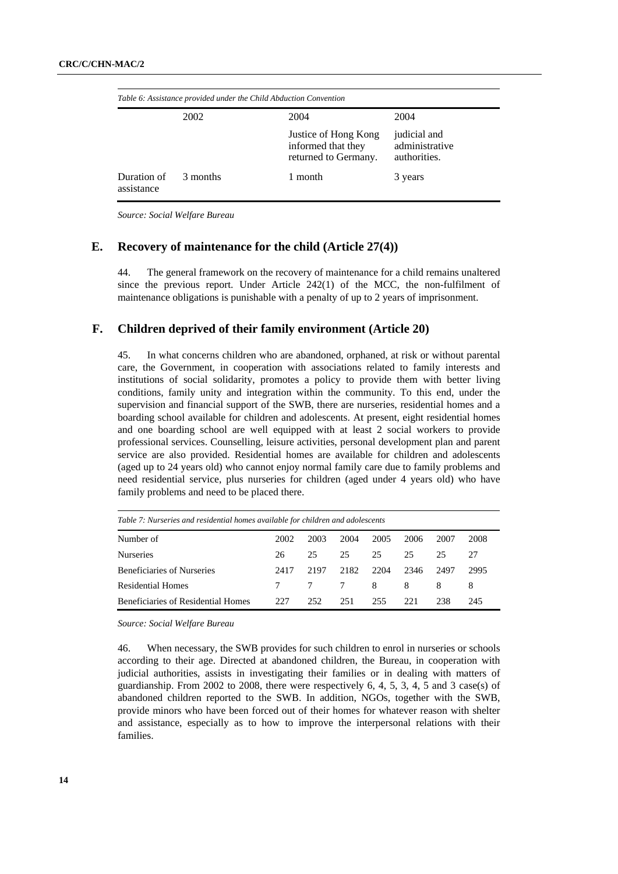| Table 6: Assistance provided under the Child Abduction Convention |          |                                                                    |                                                |  |  |  |  |
|-------------------------------------------------------------------|----------|--------------------------------------------------------------------|------------------------------------------------|--|--|--|--|
|                                                                   | 2002     | 2004                                                               | 2004                                           |  |  |  |  |
|                                                                   |          | Justice of Hong Kong<br>informed that they<br>returned to Germany. | judicial and<br>administrative<br>authorities. |  |  |  |  |
| Duration of<br>assistance                                         | 3 months | 1 month                                                            | 3 years                                        |  |  |  |  |

*Source: Social Welfare Bureau* 

### **E. Recovery of maintenance for the child (Article 27(4))**

44. The general framework on the recovery of maintenance for a child remains unaltered since the previous report. Under Article  $242(1)$  of the MCC, the non-fulfilment of maintenance obligations is punishable with a penalty of up to 2 years of imprisonment.

### **F. Children deprived of their family environment (Article 20)**

45. In what concerns children who are abandoned, orphaned, at risk or without parental care, the Government, in cooperation with associations related to family interests and institutions of social solidarity, promotes a policy to provide them with better living conditions, family unity and integration within the community. To this end, under the supervision and financial support of the SWB, there are nurseries, residential homes and a boarding school available for children and adolescents. At present, eight residential homes and one boarding school are well equipped with at least 2 social workers to provide professional services. Counselling, leisure activities, personal development plan and parent service are also provided. Residential homes are available for children and adolescents (aged up to 24 years old) who cannot enjoy normal family care due to family problems and need residential service, plus nurseries for children (aged under 4 years old) who have family problems and need to be placed there.

| Twee <i>i</i> , the series and resultance nomes arangely for challicated and colocates |      |         |      |      |      |      |      |  |  |  |  |
|----------------------------------------------------------------------------------------|------|---------|------|------|------|------|------|--|--|--|--|
| Number of                                                                              | 2002 | 2003    | 2004 | 2005 | 2006 | 2007 | 2008 |  |  |  |  |
| <b>Nurseries</b>                                                                       | 26   | 25.     | 25   | 25   | 25   | 25   | 27   |  |  |  |  |
| Beneficiaries of Nurseries                                                             | 2417 | 2197    | 2182 | 2204 | 2346 | 2497 | 2995 |  |  |  |  |
| <b>Residential Homes</b>                                                               |      | 7 7 7 8 |      |      | 8    | 8    |      |  |  |  |  |
| Beneficiaries of Residential Homes                                                     | 227  | 252     | 251  | 255  | 221  | 238  | 245  |  |  |  |  |

*Table 7: Nurseries and residential homes available for children and adolescents* 

*Source: Social Welfare Bureau* 

46. When necessary, the SWB provides for such children to enrol in nurseries or schools according to their age. Directed at abandoned children, the Bureau, in cooperation with judicial authorities, assists in investigating their families or in dealing with matters of guardianship. From 2002 to 2008, there were respectively 6, 4, 5, 3, 4, 5 and 3 case(s) of abandoned children reported to the SWB. In addition, NGOs, together with the SWB, provide minors who have been forced out of their homes for whatever reason with shelter and assistance, especially as to how to improve the interpersonal relations with their families.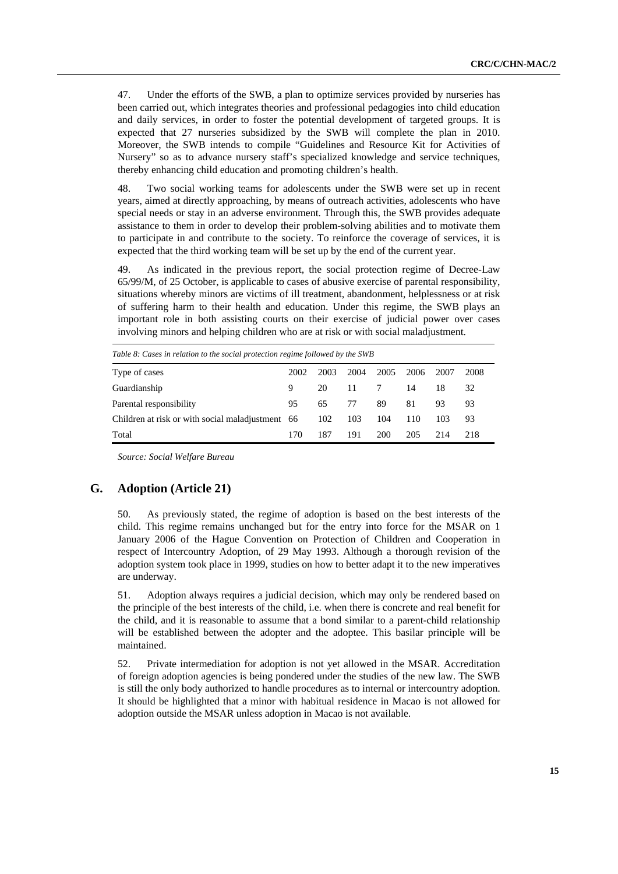47. Under the efforts of the SWB, a plan to optimize services provided by nurseries has been carried out, which integrates theories and professional pedagogies into child education and daily services, in order to foster the potential development of targeted groups. It is expected that 27 nurseries subsidized by the SWB will complete the plan in 2010. Moreover, the SWB intends to compile "Guidelines and Resource Kit for Activities of Nursery" so as to advance nursery staff's specialized knowledge and service techniques, thereby enhancing child education and promoting children's health.

48. Two social working teams for adolescents under the SWB were set up in recent years, aimed at directly approaching, by means of outreach activities, adolescents who have special needs or stay in an adverse environment. Through this, the SWB provides adequate assistance to them in order to develop their problem-solving abilities and to motivate them to participate in and contribute to the society. To reinforce the coverage of services, it is expected that the third working team will be set up by the end of the current year.

49. As indicated in the previous report, the social protection regime of Decree-Law 65/99/M, of 25 October, is applicable to cases of abusive exercise of parental responsibility, situations whereby minors are victims of ill treatment, abandonment, helplessness or at risk of suffering harm to their health and education. Under this regime, the SWB plays an important role in both assisting courts on their exercise of judicial power over cases involving minors and helping children who are at risk or with social maladjustment.

| Table 8: Cases in relation to the social protection regime followed by the SWB |      |      |      |      |      |      |      |
|--------------------------------------------------------------------------------|------|------|------|------|------|------|------|
| Type of cases                                                                  | 2002 | 2003 | 2004 | 2005 | 2006 | 2007 | 2008 |
| Guardianship                                                                   | 9    | 20   | 11   |      | 14   | 18   | 32   |
| Parental responsibility                                                        | 95.  | 65   | 77   | 89   | 81   | 93   | 93   |
| Children at risk or with social maladjustment 66                               |      | 102  | 103  | 104  | 110  | 103  | 93   |
| Total                                                                          | 170  | 187  | 191  | 200  | 205  | 214  | 218  |

*Table 8: Cases in relation to the social protection regime followed by the SWB* 

*Source: Social Welfare Bureau* 

# **G. Adoption (Article 21)**

50. As previously stated, the regime of adoption is based on the best interests of the child. This regime remains unchanged but for the entry into force for the MSAR on 1 January 2006 of the Hague Convention on Protection of Children and Cooperation in respect of Intercountry Adoption, of 29 May 1993. Although a thorough revision of the adoption system took place in 1999, studies on how to better adapt it to the new imperatives are underway.

51. Adoption always requires a judicial decision, which may only be rendered based on the principle of the best interests of the child, i.e. when there is concrete and real benefit for the child, and it is reasonable to assume that a bond similar to a parent-child relationship will be established between the adopter and the adoptee. This basilar principle will be maintained.

52. Private intermediation for adoption is not yet allowed in the MSAR. Accreditation of foreign adoption agencies is being pondered under the studies of the new law. The SWB is still the only body authorized to handle procedures as to internal or intercountry adoption. It should be highlighted that a minor with habitual residence in Macao is not allowed for adoption outside the MSAR unless adoption in Macao is not available.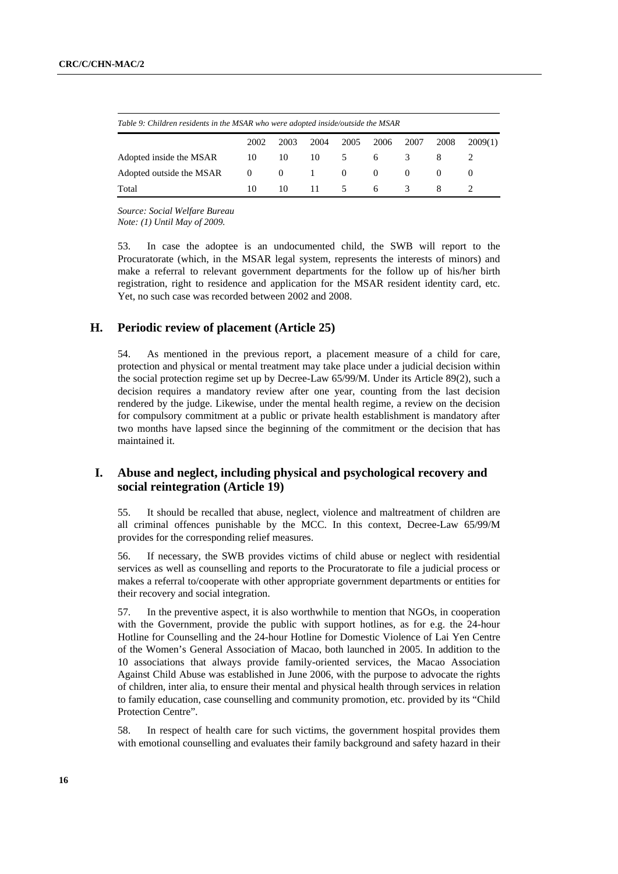|                          | Table 9: Children residents in the MSAR who were adopted inside/outside the MSAR |                |              |          |                |               |      |         |  |  |  |  |  |
|--------------------------|----------------------------------------------------------------------------------|----------------|--------------|----------|----------------|---------------|------|---------|--|--|--|--|--|
|                          | 2002                                                                             | 2003           | 2004         | 2005     | 2006           | 2007          | 2008 | 2009(1) |  |  |  |  |  |
| Adopted inside the MSAR  | 10                                                                               | 10             | $10 \quad 5$ |          | 6              | -3            |      |         |  |  |  |  |  |
| Adopted outside the MSAR | $\overline{0}$                                                                   | $\overline{0}$ | 1            | $\Omega$ | $\overline{0}$ | $\Omega$      |      |         |  |  |  |  |  |
| Total                    | 10                                                                               | 10.            | 11 5         |          | 6              | $\mathcal{R}$ |      |         |  |  |  |  |  |

*Source: Social Welfare Bureau* 

*Note: (1) Until May of 2009.* 

53. In case the adoptee is an undocumented child, the SWB will report to the Procuratorate (which, in the MSAR legal system, represents the interests of minors) and make a referral to relevant government departments for the follow up of his/her birth registration, right to residence and application for the MSAR resident identity card, etc. Yet, no such case was recorded between 2002 and 2008.

### **H. Periodic review of placement (Article 25)**

54. As mentioned in the previous report, a placement measure of a child for care, protection and physical or mental treatment may take place under a judicial decision within the social protection regime set up by Decree-Law 65/99/M. Under its Article 89(2), such a decision requires a mandatory review after one year, counting from the last decision rendered by the judge. Likewise, under the mental health regime, a review on the decision for compulsory commitment at a public or private health establishment is mandatory after two months have lapsed since the beginning of the commitment or the decision that has maintained it.

# **I. Abuse and neglect, including physical and psychological recovery and social reintegration (Article 19)**

55. It should be recalled that abuse, neglect, violence and maltreatment of children are all criminal offences punishable by the MCC. In this context, Decree-Law 65/99/M provides for the corresponding relief measures.

56. If necessary, the SWB provides victims of child abuse or neglect with residential services as well as counselling and reports to the Procuratorate to file a judicial process or makes a referral to/cooperate with other appropriate government departments or entities for their recovery and social integration.

57. In the preventive aspect, it is also worthwhile to mention that NGOs, in cooperation with the Government, provide the public with support hotlines, as for e.g. the 24-hour Hotline for Counselling and the 24-hour Hotline for Domestic Violence of Lai Yen Centre of the Women's General Association of Macao, both launched in 2005. In addition to the 10 associations that always provide family-oriented services, the Macao Association Against Child Abuse was established in June 2006, with the purpose to advocate the rights of children, inter alia, to ensure their mental and physical health through services in relation to family education, case counselling and community promotion, etc. provided by its "Child Protection Centre".

58. In respect of health care for such victims, the government hospital provides them with emotional counselling and evaluates their family background and safety hazard in their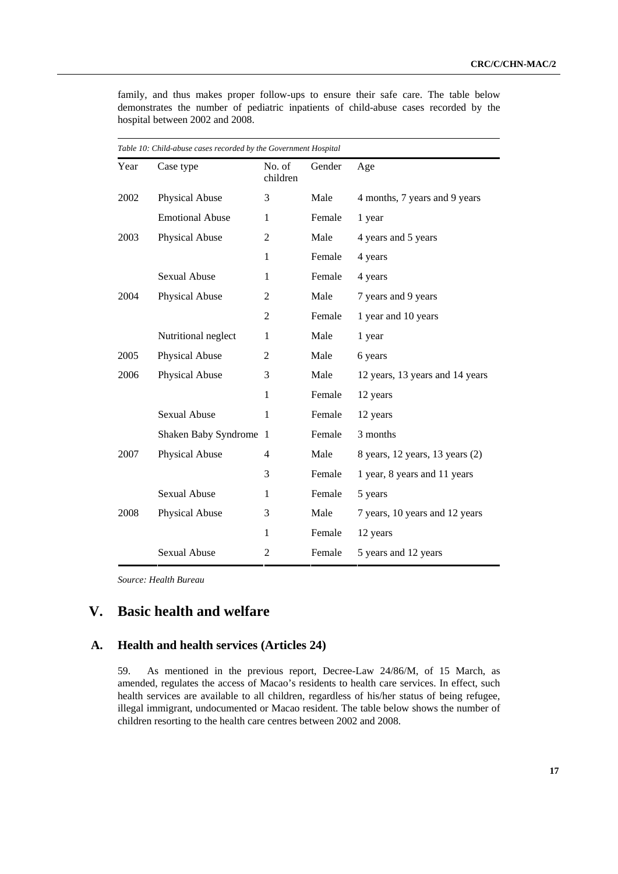|      | Table 10: Child-abuse cases recorded by the Government Hospital |                    |        |                                 |
|------|-----------------------------------------------------------------|--------------------|--------|---------------------------------|
| Year | Case type                                                       | No. of<br>children | Gender | Age                             |
| 2002 | Physical Abuse                                                  | 3                  | Male   | 4 months, 7 years and 9 years   |
|      | <b>Emotional Abuse</b>                                          | $\mathbf{1}$       | Female | 1 year                          |
| 2003 | Physical Abuse                                                  | $\overline{2}$     | Male   | 4 years and 5 years             |
|      |                                                                 | $\mathbf{1}$       | Female | 4 years                         |
|      | <b>Sexual Abuse</b>                                             | $\mathbf{1}$       | Female | 4 years                         |
| 2004 | Physical Abuse                                                  | 2                  | Male   | 7 years and 9 years             |
|      |                                                                 | 2                  | Female | 1 year and 10 years             |
|      | Nutritional neglect                                             | 1                  | Male   | 1 year                          |
| 2005 | Physical Abuse                                                  | 2                  | Male   | 6 years                         |
| 2006 | Physical Abuse                                                  | 3                  | Male   | 12 years, 13 years and 14 years |
|      |                                                                 | $\mathbf{1}$       | Female | 12 years                        |
|      | <b>Sexual Abuse</b>                                             | $\mathbf{1}$       | Female | 12 years                        |
|      | Shaken Baby Syndrome 1                                          |                    | Female | 3 months                        |
| 2007 | Physical Abuse                                                  | 4                  | Male   | 8 years, 12 years, 13 years (2) |
|      |                                                                 | 3                  | Female | 1 year, 8 years and 11 years    |
|      | <b>Sexual Abuse</b>                                             | $\mathbf{1}$       | Female | 5 years                         |
| 2008 | Physical Abuse                                                  | 3                  | Male   | 7 years, 10 years and 12 years  |
|      |                                                                 | 1                  | Female | 12 years                        |
|      | <b>Sexual Abuse</b>                                             | 2                  | Female | 5 years and 12 years            |

family, and thus makes proper follow-ups to ensure their safe care. The table below demonstrates the number of pediatric inpatients of child-abuse cases recorded by the hospital between 2002 and 2008.

*Source: Health Bureau* 

# **V. Basic health and welfare**

# **A. Health and health services (Articles 24)**

59. As mentioned in the previous report, Decree-Law 24/86/M, of 15 March, as amended, regulates the access of Macao's residents to health care services. In effect, such health services are available to all children, regardless of his/her status of being refugee, illegal immigrant, undocumented or Macao resident. The table below shows the number of children resorting to the health care centres between 2002 and 2008.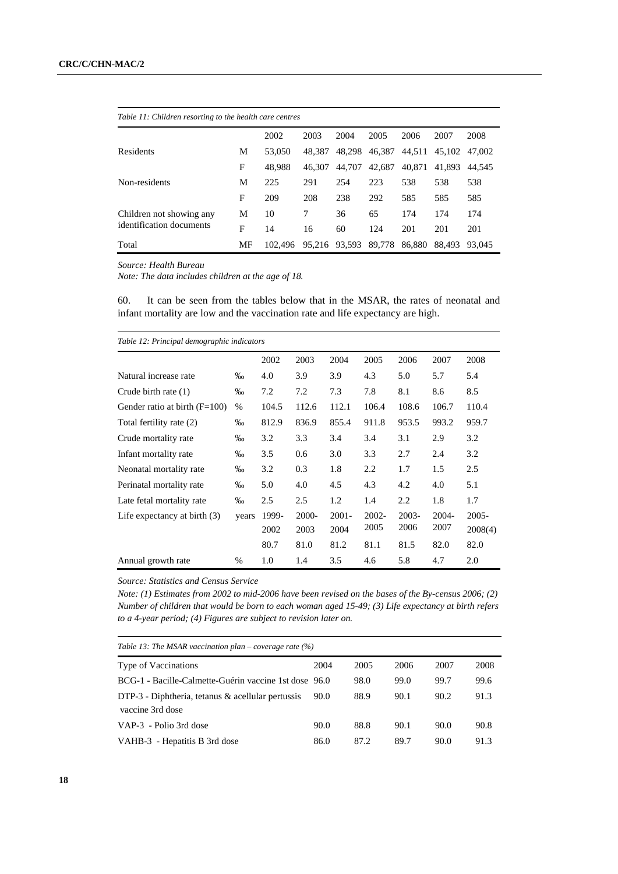| Table 11: Children resorting to the health care centres |    |         |        |        |        |        |        |        |
|---------------------------------------------------------|----|---------|--------|--------|--------|--------|--------|--------|
|                                                         |    | 2002    | 2003   | 2004   | 2005   | 2006   | 2007   | 2008   |
| Residents                                               | М  | 53,050  | 48.387 | 48,298 | 46,387 | 44,511 | 45.102 | 47.002 |
|                                                         | F  | 48.988  | 46.307 | 44.707 | 42,687 | 40,871 | 41.893 | 44.545 |
| Non-residents                                           | M  | 225     | 291    | 254    | 223    | 538    | 538    | 538    |
|                                                         | F  | 209     | 208    | 238    | 292    | 585    | 585    | 585    |
| Children not showing any                                | М  | 10      | 7      | 36     | 65     | 174    | 174    | 174    |
| identification documents                                | F  | 14      | 16     | 60     | 124    | 201    | 201    | 201    |
| Total                                                   | MF | 102.496 | 95,216 | 93,593 | 89,778 | 86,880 | 88.493 | 93.045 |

*Source: Health Bureau* 

*Note: The data includes children at the age of 18.* 

60. It can be seen from the tables below that in the MSAR, the rates of neonatal and infant mortality are low and the vaccination rate and life expectancy are high.

| Table 12: Principal demographic indicators |               |       |       |          |          |          |          |          |
|--------------------------------------------|---------------|-------|-------|----------|----------|----------|----------|----------|
|                                            |               | 2002  | 2003  | 2004     | 2005     | 2006     | 2007     | 2008     |
| Natural increase rate                      | $\%$          | 4.0   | 3.9   | 3.9      | 4.3      | 5.0      | 5.7      | 5.4      |
| Crude birth rate $(1)$                     | $\%$          | 7.2   | 7.2   | 7.3      | 7.8      | 8.1      | 8.6      | 8.5      |
| Gender ratio at birth $(F=100)$            | $\frac{0}{0}$ | 104.5 | 112.6 | 112.1    | 106.4    | 108.6    | 106.7    | 110.4    |
| Total fertility rate (2)                   | $\%$          | 812.9 | 836.9 | 855.4    | 911.8    | 953.5    | 993.2    | 959.7    |
| Crude mortality rate                       | $\%$          | 3.2   | 3.3   | 3.4      | 3.4      | 3.1      | 2.9      | 3.2      |
| Infant mortality rate                      | $\%$          | 3.5   | 0.6   | 3.0      | 3.3      | 2.7      | 2.4      | 3.2      |
| Neonatal mortality rate                    | $\%$          | 3.2   | 0.3   | 1.8      | 2.2      | 1.7      | 1.5      | 2.5      |
| Perinatal mortality rate                   | $\%$          | 5.0   | 4.0   | 4.5      | 4.3      | 4.2      | 4.0      | 5.1      |
| Late fetal mortality rate                  | $\%$          | 2.5   | 2.5   | 1.2      | 1.4      | 2.2      | 1.8      | 1.7      |
| Life expectancy at birth $(3)$             | years         | 1999- | 2000- | $2001 -$ | $2002 -$ | $2003 -$ | $2004 -$ | $2005 -$ |
|                                            |               | 2002  | 2003  | 2004     | 2005     | 2006     | 2007     | 2008(4)  |
|                                            |               | 80.7  | 81.0  | 81.2     | 81.1     | 81.5     | 82.0     | 82.0     |
| Annual growth rate                         | $\frac{0}{0}$ | 1.0   | 1.4   | 3.5      | 4.6      | 5.8      | 4.7      | 2.0      |

*Source: Statistics and Census Service* 

*Note: (1) Estimates from 2002 to mid-2006 have been revised on the bases of the By-census 2006; (2) Number of children that would be born to each woman aged 15-49; (3) Life expectancy at birth refers to a 4-year period; (4) Figures are subject to revision later on.* 

| Table 13: The MSAR vaccination plan – coverage rate $(\%)$              |      |      |      |      |      |
|-------------------------------------------------------------------------|------|------|------|------|------|
| Type of Vaccinations                                                    | 2004 | 2005 | 2006 | 2007 | 2008 |
| BCG-1 - Bacille-Calmette-Guérin vaccine 1st dose 96.0                   |      | 98.0 | 99.0 | 99.7 | 99.6 |
| $DTP-3$ - Diphtheria, tetanus & acellular pertussis<br>vaccine 3rd dose | 90.0 | 88.9 | 90.1 | 90.2 | 91.3 |
| VAP-3 - Polio 3rd dose                                                  | 90.0 | 88.8 | 90.1 | 90.0 | 90.8 |
| VAHB-3 - Hepatitis B 3rd dose                                           | 86.0 | 87.2 | 89.7 | 90.0 | 91.3 |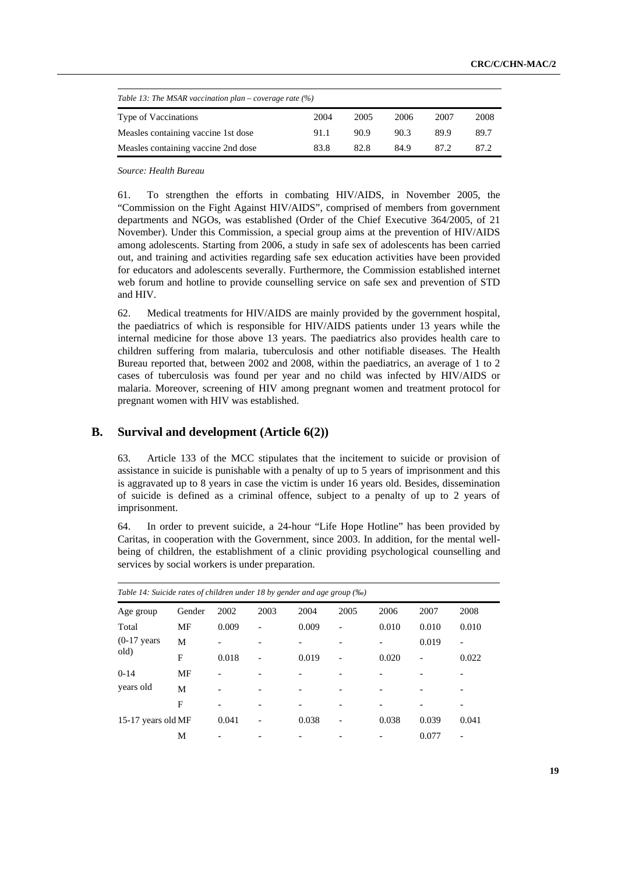|                                     | Table 13: The MSAR vaccination plan – coverage rate $(\%)$ |      |      |      |      |  |  |  |  |  |  |
|-------------------------------------|------------------------------------------------------------|------|------|------|------|--|--|--|--|--|--|
| Type of Vaccinations                | 2004                                                       | 2005 | 2006 | 2007 | 2008 |  |  |  |  |  |  |
| Measles containing vaccine 1st dose | 91.1                                                       | 90.9 | 90.3 | 89.9 | 89.7 |  |  |  |  |  |  |
| Measles containing vaccine 2nd dose | 83.8                                                       | 82.8 | 84.9 | 87.2 | 87.2 |  |  |  |  |  |  |

*Source: Health Bureau* 

61. To strengthen the efforts in combating HIV/AIDS, in November 2005, the "Commission on the Fight Against HIV/AIDS", comprised of members from government departments and NGOs, was established (Order of the Chief Executive 364/2005, of 21 November). Under this Commission, a special group aims at the prevention of HIV/AIDS among adolescents. Starting from 2006, a study in safe sex of adolescents has been carried out, and training and activities regarding safe sex education activities have been provided for educators and adolescents severally. Furthermore, the Commission established internet web forum and hotline to provide counselling service on safe sex and prevention of STD and HIV.

62. Medical treatments for HIV/AIDS are mainly provided by the government hospital, the paediatrics of which is responsible for HIV/AIDS patients under 13 years while the internal medicine for those above 13 years. The paediatrics also provides health care to children suffering from malaria, tuberculosis and other notifiable diseases. The Health Bureau reported that, between 2002 and 2008, within the paediatrics, an average of 1 to 2 cases of tuberculosis was found per year and no child was infected by HIV/AIDS or malaria. Moreover, screening of HIV among pregnant women and treatment protocol for pregnant women with HIV was established.

# **B. Survival and development (Article 6(2))**

63. Article 133 of the MCC stipulates that the incitement to suicide or provision of assistance in suicide is punishable with a penalty of up to 5 years of imprisonment and this is aggravated up to 8 years in case the victim is under 16 years old. Besides, dissemination of suicide is defined as a criminal offence, subject to a penalty of up to 2 years of imprisonment.

64. In order to prevent suicide, a 24-hour "Life Hope Hotline" has been provided by Caritas, in cooperation with the Government, since 2003. In addition, for the mental wellbeing of children, the establishment of a clinic providing psychological counselling and services by social workers is under preparation.

| Table 14: Suicide rates of children under 18 by gender and age group (‰) |        |                              |                          |       |                          |                              |                |                          |
|--------------------------------------------------------------------------|--------|------------------------------|--------------------------|-------|--------------------------|------------------------------|----------------|--------------------------|
| Age group                                                                | Gender | 2002                         | 2003                     | 2004  | 2005                     | 2006                         | 2007           | 2008                     |
| Total                                                                    | MF     | 0.009                        |                          | 0.009 | $\overline{\phantom{0}}$ | 0.010                        | 0.010          | 0.010                    |
| $(0-17 \text{ years})$                                                   | M      |                              |                          |       |                          |                              | 0.019          |                          |
| old)                                                                     | F      | 0.018                        | $\overline{\phantom{0}}$ | 0.019 | $\overline{\phantom{a}}$ | 0.020                        | $\overline{a}$ | 0.022                    |
| $0 - 14$                                                                 | MF     |                              |                          |       |                          |                              |                |                          |
| years old                                                                | М      | $\qquad \qquad \blacksquare$ |                          |       |                          | $\qquad \qquad \blacksquare$ |                | $\overline{\phantom{0}}$ |
|                                                                          | F      |                              |                          |       |                          |                              |                |                          |
| 15-17 years old MF                                                       |        | 0.041                        |                          | 0.038 | $\qquad \qquad$          | 0.038                        | 0.039          | 0.041                    |
|                                                                          | М      |                              |                          |       |                          |                              | 0.077          |                          |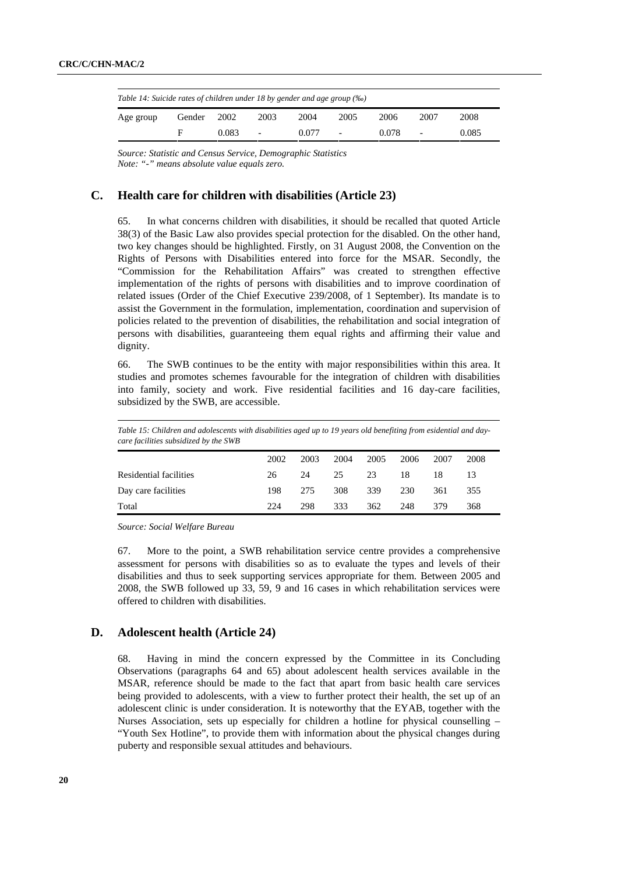| Table 14: Suicide rates of children under 18 by gender and age group (‰) |        |       |                          |       |                          |       |      |       |  |  |  |
|--------------------------------------------------------------------------|--------|-------|--------------------------|-------|--------------------------|-------|------|-------|--|--|--|
| Age group                                                                | Gender | 2002  | 2003                     | 2004  | 2005                     | 2006  | 2007 | 2008  |  |  |  |
|                                                                          | E      | 0.083 | $\overline{\phantom{0}}$ | 0.077 | $\overline{\phantom{0}}$ | 0.078 |      | 0.085 |  |  |  |

*Source: Statistic and Census Service, Demographic Statistics Note: "-" means absolute value equals zero.* 

### **C. Health care for children with disabilities (Article 23)**

65. In what concerns children with disabilities, it should be recalled that quoted Article 38(3) of the Basic Law also provides special protection for the disabled. On the other hand, two key changes should be highlighted. Firstly, on 31 August 2008, the Convention on the Rights of Persons with Disabilities entered into force for the MSAR. Secondly, the "Commission for the Rehabilitation Affairs" was created to strengthen effective implementation of the rights of persons with disabilities and to improve coordination of related issues (Order of the Chief Executive 239/2008, of 1 September). Its mandate is to assist the Government in the formulation, implementation, coordination and supervision of policies related to the prevention of disabilities, the rehabilitation and social integration of persons with disabilities, guaranteeing them equal rights and affirming their value and dignity.

66. The SWB continues to be the entity with major responsibilities within this area. It studies and promotes schemes favourable for the integration of children with disabilities into family, society and work. Five residential facilities and 16 day-care facilities, subsidized by the SWB, are accessible.

| Table 15: Children and adolescents with disabilities aged up to 19 years old benefiting from esidential and day-<br>care facilities subsidized by the SWB |      |      |      |      |      |      |      |
|-----------------------------------------------------------------------------------------------------------------------------------------------------------|------|------|------|------|------|------|------|
|                                                                                                                                                           | 2002 | 2003 | 2004 | 2005 | 2006 | 2007 | 2008 |
| Residential facilities                                                                                                                                    | 26   | 24   | 25   | 23   | 18   | 18   | 13   |
| Day care facilities                                                                                                                                       | 198  | 275  | 308  | 339  | 230  | 361  | 355  |
| Total                                                                                                                                                     | 224  | 298  | 333  | 362  | 248  | 379  | 368  |

*Source: Social Welfare Bureau* 

67. More to the point, a SWB rehabilitation service centre provides a comprehensive assessment for persons with disabilities so as to evaluate the types and levels of their disabilities and thus to seek supporting services appropriate for them. Between 2005 and 2008, the SWB followed up 33, 59, 9 and 16 cases in which rehabilitation services were offered to children with disabilities.

## **D. Adolescent health (Article 24)**

68. Having in mind the concern expressed by the Committee in its Concluding Observations (paragraphs 64 and 65) about adolescent health services available in the MSAR, reference should be made to the fact that apart from basic health care services being provided to adolescents, with a view to further protect their health, the set up of an adolescent clinic is under consideration. It is noteworthy that the EYAB, together with the Nurses Association, sets up especially for children a hotline for physical counselling – "Youth Sex Hotline", to provide them with information about the physical changes during puberty and responsible sexual attitudes and behaviours.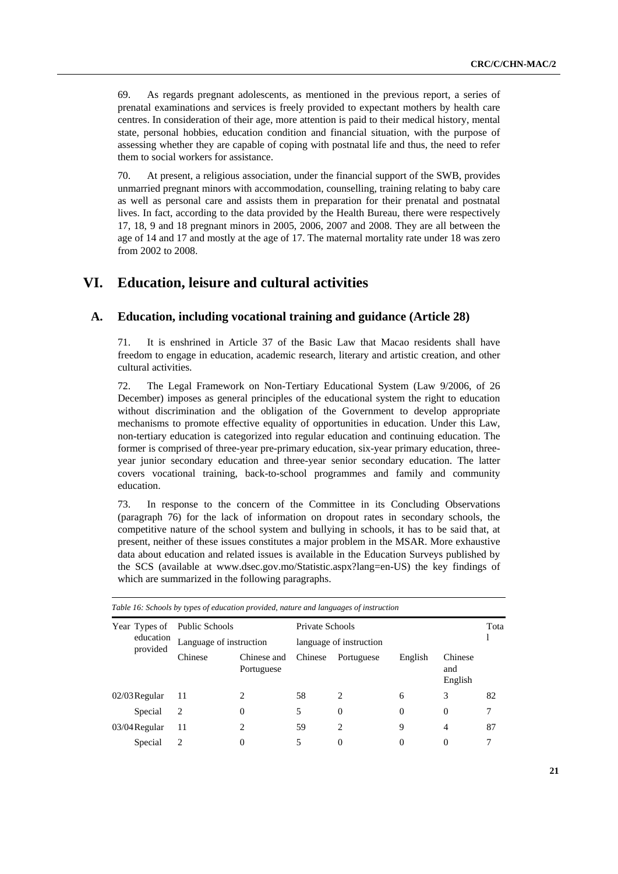69. As regards pregnant adolescents, as mentioned in the previous report, a series of prenatal examinations and services is freely provided to expectant mothers by health care centres. In consideration of their age, more attention is paid to their medical history, mental state, personal hobbies, education condition and financial situation, with the purpose of assessing whether they are capable of coping with postnatal life and thus, the need to refer them to social workers for assistance.

70. At present, a religious association, under the financial support of the SWB, provides unmarried pregnant minors with accommodation, counselling, training relating to baby care as well as personal care and assists them in preparation for their prenatal and postnatal lives. In fact, according to the data provided by the Health Bureau, there were respectively 17, 18, 9 and 18 pregnant minors in 2005, 2006, 2007 and 2008. They are all between the age of 14 and 17 and mostly at the age of 17. The maternal mortality rate under 18 was zero from 2002 to 2008.

# **VI. Education, leisure and cultural activities**

### **A. Education, including vocational training and guidance (Article 28)**

71. It is enshrined in Article 37 of the Basic Law that Macao residents shall have freedom to engage in education, academic research, literary and artistic creation, and other cultural activities.

72. The Legal Framework on Non-Tertiary Educational System (Law 9/2006, of 26 December) imposes as general principles of the educational system the right to education without discrimination and the obligation of the Government to develop appropriate mechanisms to promote effective equality of opportunities in education. Under this Law, non-tertiary education is categorized into regular education and continuing education. The former is comprised of three-year pre-primary education, six-year primary education, threeyear junior secondary education and three-year senior secondary education. The latter covers vocational training, back-to-school programmes and family and community education.

73. In response to the concern of the Committee in its Concluding Observations (paragraph 76) for the lack of information on dropout rates in secondary schools, the competitive nature of the school system and bullying in schools, it has to be said that, at present, neither of these issues constitutes a major problem in the MSAR. More exhaustive data about education and related issues is available in the Education Surveys published by the SCS (available at [www.dsec.gov.mo/Statistic.aspx?lang=en-US](http://www.dsec.gov.mo/Statistic.aspx?lang=en-US)) the key findings of which are summarized in the following paragraphs.

| Table 16: Schools by types of education provided, nature and languages of instruction |                         |                           |                 |                         |          |                           |      |  |  |  |
|---------------------------------------------------------------------------------------|-------------------------|---------------------------|-----------------|-------------------------|----------|---------------------------|------|--|--|--|
| Year Types of Public Schools                                                          |                         |                           | Private Schools |                         |          |                           | Tota |  |  |  |
| education                                                                             | Language of instruction |                           |                 | language of instruction |          |                           |      |  |  |  |
| provided                                                                              | Chinese                 | Chinese and<br>Portuguese | Chinese         | Portuguese              | English  | Chinese<br>and<br>English |      |  |  |  |
| $02/03$ Regular                                                                       | 11                      | 2                         | 58              | 2                       | 6        | 3                         | 82   |  |  |  |
| Special                                                                               | 2                       | $\Omega$                  | 5               | $\Omega$                | $\Omega$ | $\Omega$                  | 7    |  |  |  |
| $03/04$ Regular                                                                       | 11                      | 2                         | 59              | 2                       | 9        | 4                         | 87   |  |  |  |
| Special                                                                               | 2                       | 0                         | 5               | 0                       | 0        | $\Omega$                  |      |  |  |  |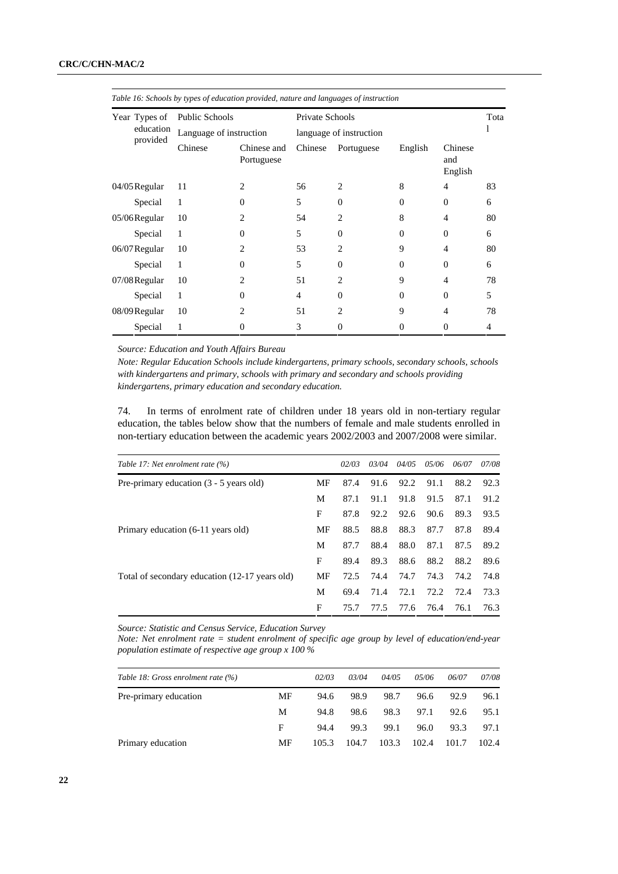| Year Types of   | <b>Public Schools</b>   |                           | Private Schools |                         |          |                           | Tota |
|-----------------|-------------------------|---------------------------|-----------------|-------------------------|----------|---------------------------|------|
| education       | Language of instruction |                           |                 | language of instruction |          |                           |      |
| provided        | Chinese                 | Chinese and<br>Portuguese | Chinese         | Portuguese              | English  | Chinese<br>and<br>English |      |
| 04/05 Regular   | 11                      | 2                         | 56              | 2                       | 8        | 4                         | 83   |
| Special         | 1                       | $\Omega$                  | 5               | $\theta$                | $\Omega$ | $\Omega$                  | 6    |
| $05/06$ Regular | 10                      | $\overline{2}$            | 54              | $\overline{c}$          | 8        | 4                         | 80   |
| Special         | 1                       | $\Omega$                  | 5               | $\Omega$                | $\Omega$ | $\Omega$                  | 6    |
| 06/07 Regular   | 10                      | $\overline{c}$            | 53              | 2                       | 9        | 4                         | 80   |
| Special         | 1                       | $\Omega$                  | 5               | 0                       | $\Omega$ | $\Omega$                  | 6    |
| $07/08$ Regular | 10                      | $\overline{2}$            | 51              | $\overline{2}$          | 9        | 4                         | 78   |
| Special         | 1                       | $\Omega$                  | $\overline{4}$  | $\theta$                | $\Omega$ | $\theta$                  | 5    |
| 08/09 Regular   | 10                      | $\overline{c}$            | 51              | $\overline{2}$          | 9        | 4                         | 78   |
| Special         |                         | $\Omega$                  | 3               | 0                       | 0        | 0                         | 4    |

*Table 16: Schools by types of education provided, nature and languages of instruction* 

*Source: Education and Youth Affairs Bureau* 

*Note: Regular Education Schools include kindergartens, primary schools, secondary schools, schools with kindergartens and primary, schools with primary and secondary and schools providing kindergartens, primary education and secondary education.* 

74. In terms of enrolment rate of children under 18 years old in non-tertiary regular education, the tables below show that the numbers of female and male students enrolled in non-tertiary education between the academic years 2002/2003 and 2007/2008 were similar.

| Table 17: Net enrolment rate $(\%)$            |    | 02/03 | 03/04 | 04/05 | 05/06 | 06/07 | 07/08 |
|------------------------------------------------|----|-------|-------|-------|-------|-------|-------|
| Pre-primary education $(3 - 5$ years old)      | МF | 87.4  | 91.6  | 92.2  | 91.1  | 88.2  | 92.3  |
|                                                | M  | 87.1  | 91.1  | 91.8  | 91.5  | 87.1  | 91.2  |
|                                                | F  | 87.8  | 92.2  | 92.6  | 90.6  | 89.3  | 93.5  |
| Primary education (6-11 years old)             |    | 88.5  | 88.8  | 88.3  | 87.7  | 87.8  | 89.4  |
|                                                | М  | 87.7  | 88.4  | 88.0  | 87.1  | 87.5  | 89.2  |
|                                                | F  | 89.4  | 89.3  | 88.6  | 88.2  | 88.2  | 89.6  |
| Total of secondary education (12-17 years old) |    | 72.5  | 74.4  | 74.7  | 74.3  | 74.2  | 74.8  |
|                                                | М  | 69.4  | 71.4  | 72.1  | 72.2  | 72.4  | 73.3  |
|                                                | F  | 75.7  | 77.5  | 77.6  | 76.4  | 76.1  | 76.3  |

*Source: Statistic and Census Service, Education Survey* 

*Note: Net enrolment rate = student enrolment of specific age group by level of education/end-year population estimate of respective age group x 100 %* 

| Table 18: Gross enrolment rate (%) |    | 02/03 | 03/04 | 04/05 | 05/06 | 06/07 | 07/08 |
|------------------------------------|----|-------|-------|-------|-------|-------|-------|
| Pre-primary education              | MF | 94.6  | 98.9  | 98.7  | 96.6  | 92.9  | 96.1  |
|                                    | M  | 94.8  | 98.6  | 98.3  | 97.1  | 92.6  | 95.1  |
|                                    | F  | 94.4  | 99.3  | 99.1  | 96.0  | 93.3  | 97.1  |
| Primary education                  | MF | 105.3 | 104.7 | 103.3 | 102.4 | 101.7 | 102.4 |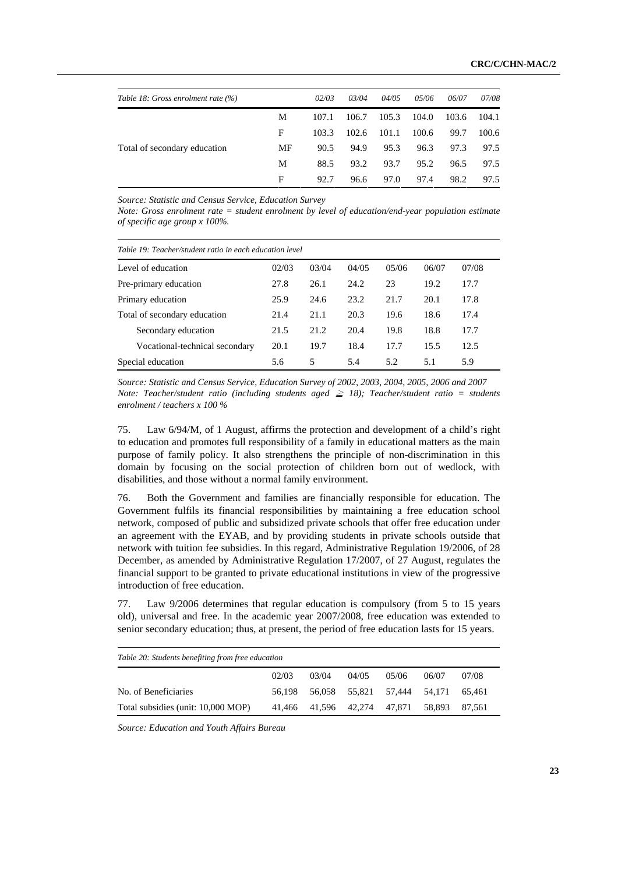| Table 18: Gross enrolment rate $(%)$ |    | 02/03 | 03/04 | 04/05 | 05/06 | 06/07 | 07/08 |
|--------------------------------------|----|-------|-------|-------|-------|-------|-------|
|                                      | М  | 107.1 | 106.7 | 105.3 | 104.0 | 103.6 | 104.1 |
|                                      | F  | 103.3 | 102.6 | 101.1 | 100.6 | 99.7  | 100.6 |
| Total of secondary education         | МF | 90.5  | 94.9  | 95.3  | 96.3  | 97.3  | 97.5  |
|                                      | М  | 88.5  | 93.2  | 93.7  | 95.2  | 96.5  | 97.5  |
|                                      | F  | 92.7  | 96.6  | 97.0  | 97.4  | 98.2  | 97.5  |

*Source: Statistic and Census Service, Education Survey* 

*Note: Gross enrolment rate = student enrolment by level of education/end-year population estimate of specific age group x 100%.* 

| Table 19: Teacher/student ratio in each education level |       |       |       |       |       |       |  |  |  |  |  |
|---------------------------------------------------------|-------|-------|-------|-------|-------|-------|--|--|--|--|--|
| Level of education                                      | 02/03 | 03/04 | 04/05 | 05/06 | 06/07 | 07/08 |  |  |  |  |  |
| Pre-primary education                                   | 27.8  | 26.1  | 24.2  | 23    | 19.2  | 17.7  |  |  |  |  |  |
| Primary education                                       | 25.9  | 24.6  | 23.2  | 21.7  | 20.1  | 17.8  |  |  |  |  |  |
| Total of secondary education                            | 21.4  | 21.1  | 20.3  | 19.6  | 18.6  | 17.4  |  |  |  |  |  |
| Secondary education                                     | 21.5  | 21.2  | 20.4  | 19.8  | 18.8  | 17.7  |  |  |  |  |  |
| Vocational-technical secondary                          | 20.1  | 19.7  | 18.4  | 17.7  | 15.5  | 12.5  |  |  |  |  |  |
| Special education                                       | 5.6   | 5     | 5.4   | 5.2   | 5.1   | 5.9   |  |  |  |  |  |

*Source: Statistic and Census Service, Education Survey of 2002, 2003, 2004, 2005, 2006 and 2007 Note: Teacher/student ratio (including students aged*  $\geq$  *18); Teacher/student ratio = students enrolment / teachers x 100 %* 

75. Law 6/94/M, of 1 August, affirms the protection and development of a child's right to education and promotes full responsibility of a family in educational matters as the main purpose of family policy. It also strengthens the principle of non-discrimination in this domain by focusing on the social protection of children born out of wedlock, with disabilities, and those without a normal family environment.

76. Both the Government and families are financially responsible for education. The Government fulfils its financial responsibilities by maintaining a free education school network, composed of public and subsidized private schools that offer free education under an agreement with the EYAB, and by providing students in private schools outside that network with tuition fee subsidies. In this regard, Administrative Regulation 19/2006, of 28 December, as amended by Administrative Regulation 17/2007, of 27 August, regulates the financial support to be granted to private educational institutions in view of the progressive introduction of free education.

77. Law 9/2006 determines that regular education is compulsory (from 5 to 15 years old), universal and free. In the academic year 2007/2008, free education was extended to senior secondary education; thus, at present, the period of free education lasts for 15 years.

| Table 20: Students benefiting from free education |        |       |       |       |                                           |       |  |  |  |  |
|---------------------------------------------------|--------|-------|-------|-------|-------------------------------------------|-------|--|--|--|--|
|                                                   | 02/03  | 03/04 | 04/05 | 05/06 | 06/07                                     | 07/08 |  |  |  |  |
| No. of Beneficiaries                              | 56.198 |       |       |       | 56,058 55,821 57,444 54,171 65,461        |       |  |  |  |  |
| Total subsidies (unit: 10,000 MOP)                |        |       |       |       | 41.466 41.596 42,274 47,871 58,893 87,561 |       |  |  |  |  |

*Source: Education and Youth Affairs Bureau*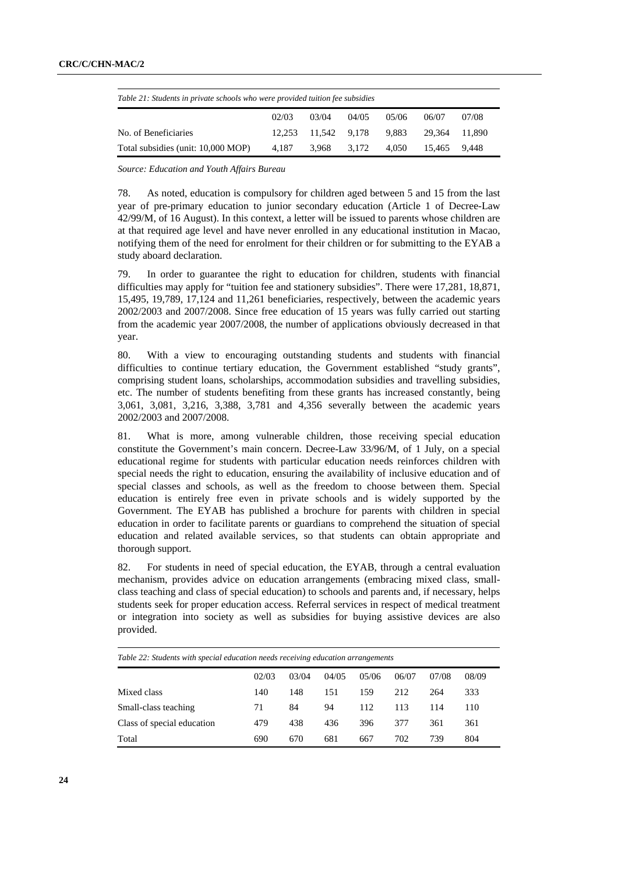| Table 21: Students in private schools who were provided tuition fee subsidies |       |                           |       |       |               |       |  |  |  |  |
|-------------------------------------------------------------------------------|-------|---------------------------|-------|-------|---------------|-------|--|--|--|--|
|                                                                               | 02/03 | 03/04                     | 04/05 | 05/06 | 06/07         | 07/08 |  |  |  |  |
| No. of Beneficiaries                                                          |       | 12.253 11.542 9.178 9.883 |       |       | 29.364 11.890 |       |  |  |  |  |
| Total subsidies (unit: 10,000 MOP)                                            | 4.187 | 3.968 3.172               |       | 4.050 | 15.465        | 9.448 |  |  |  |  |

*Source: Education and Youth Affairs Bureau* 

78. As noted, education is compulsory for children aged between 5 and 15 from the last year of pre-primary education to junior secondary education (Article 1 of Decree-Law 42/99/M, of 16 August). In this context, a letter will be issued to parents whose children are at that required age level and have never enrolled in any educational institution in Macao, notifying them of the need for enrolment for their children or for submitting to the EYAB a study aboard declaration.

79. In order to guarantee the right to education for children, students with financial difficulties may apply for "tuition fee and stationery subsidies". There were 17,281, 18,871, 15,495, 19,789, 17,124 and 11,261 beneficiaries, respectively, between the academic years 2002/2003 and 2007/2008. Since free education of 15 years was fully carried out starting from the academic year 2007/2008, the number of applications obviously decreased in that year.

80. With a view to encouraging outstanding students and students with financial difficulties to continue tertiary education, the Government established "study grants", comprising student loans, scholarships, accommodation subsidies and travelling subsidies, etc. The number of students benefiting from these grants has increased constantly, being 3,061, 3,081, 3,216, 3,388, 3,781 and 4,356 severally between the academic years 2002/2003 and 2007/2008.

81. What is more, among vulnerable children, those receiving special education constitute the Government's main concern. Decree-Law 33/96/M, of 1 July, on a special educational regime for students with particular education needs reinforces children with special needs the right to education, ensuring the availability of inclusive education and of special classes and schools, as well as the freedom to choose between them. Special education is entirely free even in private schools and is widely supported by the Government. The EYAB has published a brochure for parents with children in special education in order to facilitate parents or guardians to comprehend the situation of special education and related available services, so that students can obtain appropriate and thorough support.

82. For students in need of special education, the EYAB, through a central evaluation mechanism, provides advice on education arrangements (embracing mixed class, smallclass teaching and class of special education) to schools and parents and, if necessary, helps students seek for proper education access. Referral services in respect of medical treatment or integration into society as well as subsidies for buying assistive devices are also provided.

| Table 22: Students with special education needs receiving education arrangements |       |       |       |       |       |       |       |  |  |  |  |
|----------------------------------------------------------------------------------|-------|-------|-------|-------|-------|-------|-------|--|--|--|--|
|                                                                                  | 02/03 | 03/04 | 04/05 | 05/06 | 06/07 | 07/08 | 08/09 |  |  |  |  |
| Mixed class                                                                      | 140   | 148   | 151   | 159   | 212   | 264   | 333   |  |  |  |  |
| Small-class teaching                                                             | 71    | 84    | 94    | 112   | 113   | 114   | 110   |  |  |  |  |
| Class of special education                                                       | 479   | 438   | 436   | 396   | 377   | 361   | 361   |  |  |  |  |
| Total                                                                            | 690   | 670   | 681   | 667   | 702   | 739   | 804   |  |  |  |  |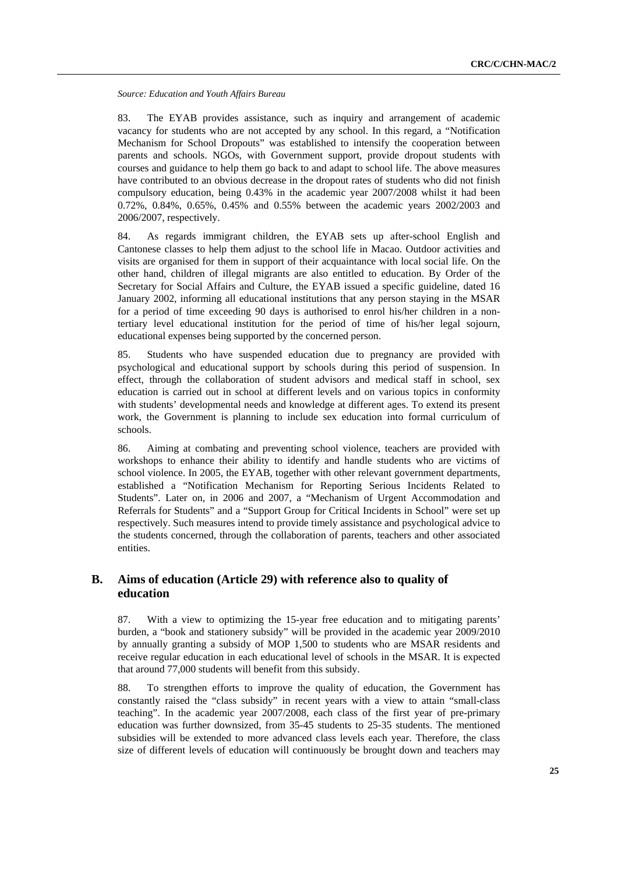*Source: Education and Youth Affairs Bureau* 

83. The EYAB provides assistance, such as inquiry and arrangement of academic vacancy for students who are not accepted by any school. In this regard, a "Notification Mechanism for School Dropouts" was established to intensify the cooperation between parents and schools. NGOs, with Government support, provide dropout students with courses and guidance to help them go back to and adapt to school life. The above measures have contributed to an obvious decrease in the dropout rates of students who did not finish compulsory education, being 0.43% in the academic year 2007/2008 whilst it had been 0.72%, 0.84%, 0.65%, 0.45% and 0.55% between the academic years 2002/2003 and 2006/2007, respectively.

84. As regards immigrant children, the EYAB sets up after-school English and Cantonese classes to help them adjust to the school life in Macao. Outdoor activities and visits are organised for them in support of their acquaintance with local social life. On the other hand, children of illegal migrants are also entitled to education. By Order of the Secretary for Social Affairs and Culture, the EYAB issued a specific guideline, dated 16 January 2002, informing all educational institutions that any person staying in the MSAR for a period of time exceeding 90 days is authorised to enrol his/her children in a nontertiary level educational institution for the period of time of his/her legal sojourn, educational expenses being supported by the concerned person.

85. Students who have suspended education due to pregnancy are provided with psychological and educational support by schools during this period of suspension. In effect, through the collaboration of student advisors and medical staff in school, sex education is carried out in school at different levels and on various topics in conformity with students' developmental needs and knowledge at different ages. To extend its present work, the Government is planning to include sex education into formal curriculum of schools.

86. Aiming at combating and preventing school violence, teachers are provided with workshops to enhance their ability to identify and handle students who are victims of school violence. In 2005, the EYAB, together with other relevant government departments, established a "Notification Mechanism for Reporting Serious Incidents Related to Students". Later on, in 2006 and 2007, a "Mechanism of Urgent Accommodation and Referrals for Students" and a "Support Group for Critical Incidents in School" were set up respectively. Such measures intend to provide timely assistance and psychological advice to the students concerned, through the collaboration of parents, teachers and other associated entities.

# **B. Aims of education (Article 29) with reference also to quality of education**

87. With a view to optimizing the 15-year free education and to mitigating parents' burden, a "book and stationery subsidy" will be provided in the academic year 2009/2010 by annually granting a subsidy of MOP 1,500 to students who are MSAR residents and receive regular education in each educational level of schools in the MSAR. It is expected that around 77,000 students will benefit from this subsidy.

88. To strengthen efforts to improve the quality of education, the Government has constantly raised the "class subsidy" in recent years with a view to attain "small-class teaching". In the academic year 2007/2008, each class of the first year of pre-primary education was further downsized, from 35-45 students to 25-35 students. The mentioned subsidies will be extended to more advanced class levels each year. Therefore, the class size of different levels of education will continuously be brought down and teachers may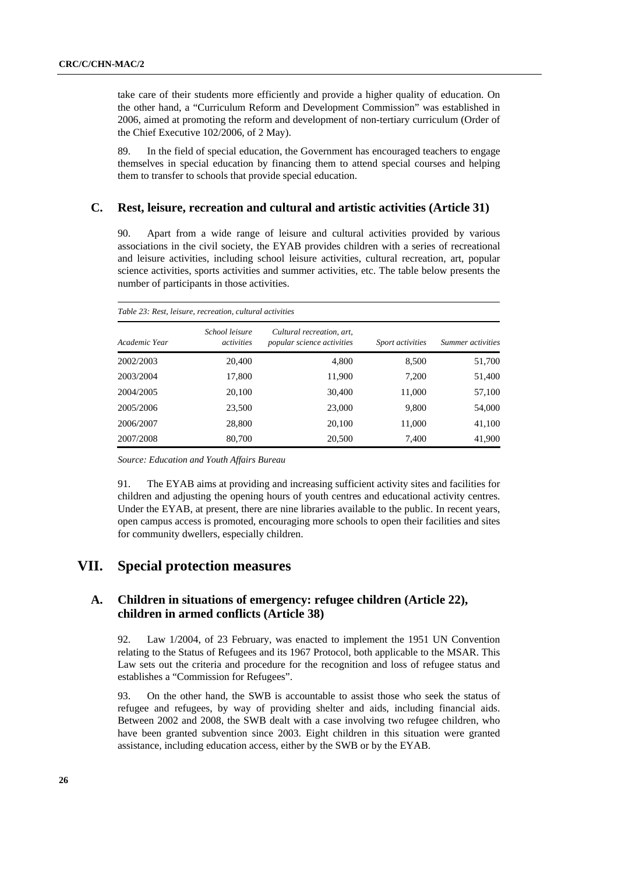take care of their students more efficiently and provide a higher quality of education. On the other hand, a "Curriculum Reform and Development Commission" was established in 2006, aimed at promoting the reform and development of non-tertiary curriculum (Order of the Chief Executive 102/2006, of 2 May).

89. In the field of special education, the Government has encouraged teachers to engage themselves in special education by financing them to attend special courses and helping them to transfer to schools that provide special education.

#### **C. Rest, leisure, recreation and cultural and artistic activities (Article 31)**

90. Apart from a wide range of leisure and cultural activities provided by various associations in the civil society, the EYAB provides children with a series of recreational and leisure activities, including school leisure activities, cultural recreation, art, popular science activities, sports activities and summer activities, etc. The table below presents the number of participants in those activities.

| Table 23: Rest, leisure, recreation, cultural activities |                              |                                                                |                  |                   |  |  |  |  |  |  |  |
|----------------------------------------------------------|------------------------------|----------------------------------------------------------------|------------------|-------------------|--|--|--|--|--|--|--|
| Academic Year                                            | School leisure<br>activities | Cultural recreation, art,<br><i>popular science activities</i> | Sport activities | Summer activities |  |  |  |  |  |  |  |
| 2002/2003                                                | 20,400                       | 4,800                                                          | 8,500            | 51,700            |  |  |  |  |  |  |  |
| 2003/2004                                                | 17,800                       | 11,900                                                         | 7,200            | 51,400            |  |  |  |  |  |  |  |
| 2004/2005                                                | 20,100                       | 30,400                                                         | 11,000           | 57,100            |  |  |  |  |  |  |  |
| 2005/2006                                                | 23,500                       | 23,000                                                         | 9,800            | 54,000            |  |  |  |  |  |  |  |
| 2006/2007                                                | 28,800                       | 20,100                                                         | 11,000           | 41,100            |  |  |  |  |  |  |  |
| 2007/2008                                                | 80,700                       | 20,500                                                         | 7,400            | 41,900            |  |  |  |  |  |  |  |

*Source: Education and Youth Affairs Bureau* 

91. The EYAB aims at providing and increasing sufficient activity sites and facilities for children and adjusting the opening hours of youth centres and educational activity centres. Under the EYAB, at present, there are nine libraries available to the public. In recent years, open campus access is promoted, encouraging more schools to open their facilities and sites for community dwellers, especially children.

# **VII. Special protection measures**

# **A. Children in situations of emergency: refugee children (Article 22), children in armed conflicts (Article 38)**

92. Law 1/2004, of 23 February, was enacted to implement the 1951 UN Convention relating to the Status of Refugees and its 1967 Protocol, both applicable to the MSAR. This Law sets out the criteria and procedure for the recognition and loss of refugee status and establishes a "Commission for Refugees".

93. On the other hand, the SWB is accountable to assist those who seek the status of refugee and refugees, by way of providing shelter and aids, including financial aids. Between 2002 and 2008, the SWB dealt with a case involving two refugee children, who have been granted subvention since 2003. Eight children in this situation were granted assistance, including education access, either by the SWB or by the EYAB.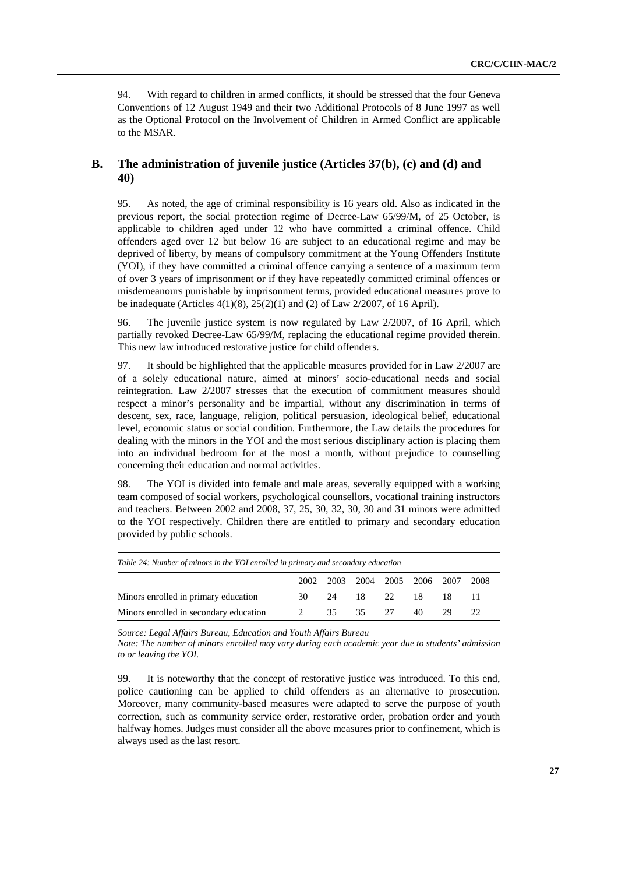94. With regard to children in armed conflicts, it should be stressed that the four Geneva Conventions of 12 August 1949 and their two Additional Protocols of 8 June 1997 as well as the Optional Protocol on the Involvement of Children in Armed Conflict are applicable to the MSAR.

# **B. The administration of juvenile justice (Articles 37(b), (c) and (d) and 40)**

95. As noted, the age of criminal responsibility is 16 years old. Also as indicated in the previous report, the social protection regime of Decree-Law 65/99/M, of 25 October, is applicable to children aged under 12 who have committed a criminal offence. Child offenders aged over 12 but below 16 are subject to an educational regime and may be deprived of liberty, by means of compulsory commitment at the Young Offenders Institute (YOI), if they have committed a criminal offence carrying a sentence of a maximum term of over 3 years of imprisonment or if they have repeatedly committed criminal offences or misdemeanours punishable by imprisonment terms, provided educational measures prove to be inadequate (Articles 4(1)(8), 25(2)(1) and (2) of Law 2/2007, of 16 April).

96. The juvenile justice system is now regulated by Law 2/2007, of 16 April, which partially revoked Decree-Law 65/99/M, replacing the educational regime provided therein. This new law introduced restorative justice for child offenders.

97. It should be highlighted that the applicable measures provided for in Law 2/2007 are of a solely educational nature, aimed at minors' socio-educational needs and social reintegration. Law 2/2007 stresses that the execution of commitment measures should respect a minor's personality and be impartial, without any discrimination in terms of descent, sex, race, language, religion, political persuasion, ideological belief, educational level, economic status or social condition. Furthermore, the Law details the procedures for dealing with the minors in the YOI and the most serious disciplinary action is placing them into an individual bedroom for at the most a month, without prejudice to counselling concerning their education and normal activities.

98. The YOI is divided into female and male areas, severally equipped with a working team composed of social workers, psychological counsellors, vocational training instructors and teachers. Between 2002 and 2008, 37, 25, 30, 32, 30, 30 and 31 minors were admitted to the YOI respectively. Children there are entitled to primary and secondary education provided by public schools.

| Table 24: Number of minors in the YOI enrolled in primary and secondary education |   |                               |  |  |    |     |              |  |  |  |  |
|-----------------------------------------------------------------------------------|---|-------------------------------|--|--|----|-----|--------------|--|--|--|--|
|                                                                                   |   | 2002 2003 2004 2005 2006 2007 |  |  |    |     | -2008        |  |  |  |  |
| Minors enrolled in primary education                                              |   | 30 24 18 22 18                |  |  |    |     |              |  |  |  |  |
| Minors enrolled in secondary education                                            | 2 | 35 35 27                      |  |  | 40 | 29. | $22^{\circ}$ |  |  |  |  |

*Source: Legal Affairs Bureau, Education and Youth Affairs Bureau* 

*Note: The number of minors enrolled may vary during each academic year due to students' admission to or leaving the YOI.* 

99. It is noteworthy that the concept of restorative justice was introduced. To this end, police cautioning can be applied to child offenders as an alternative to prosecution. Moreover, many community-based measures were adapted to serve the purpose of youth correction, such as community service order, restorative order, probation order and youth halfway homes. Judges must consider all the above measures prior to confinement, which is always used as the last resort.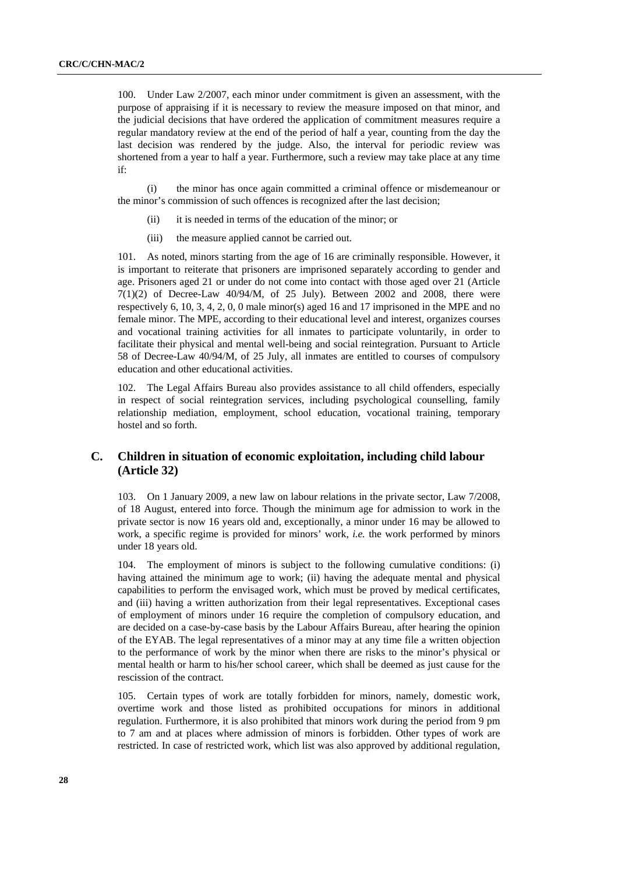100. Under Law 2/2007, each minor under commitment is given an assessment, with the purpose of appraising if it is necessary to review the measure imposed on that minor, and the judicial decisions that have ordered the application of commitment measures require a regular mandatory review at the end of the period of half a year, counting from the day the last decision was rendered by the judge. Also, the interval for periodic review was shortened from a year to half a year. Furthermore, such a review may take place at any time if:

(i) the minor has once again committed a criminal offence or misdemeanour or the minor's commission of such offences is recognized after the last decision;

- (ii) it is needed in terms of the education of the minor; or
- (iii) the measure applied cannot be carried out.

101. As noted, minors starting from the age of 16 are criminally responsible. However, it is important to reiterate that prisoners are imprisoned separately according to gender and age. Prisoners aged 21 or under do not come into contact with those aged over 21 (Article  $7(1)(2)$  of Decree-Law  $40/94/M$ , of 25 July). Between 2002 and 2008, there were respectively 6, 10, 3, 4, 2, 0, 0 male minor(s) aged 16 and 17 imprisoned in the MPE and no female minor. The MPE, according to their educational level and interest, organizes courses and vocational training activities for all inmates to participate voluntarily, in order to facilitate their physical and mental well-being and social reintegration. Pursuant to Article 58 of Decree-Law 40/94/M, of 25 July, all inmates are entitled to courses of compulsory education and other educational activities.

102. The Legal Affairs Bureau also provides assistance to all child offenders, especially in respect of social reintegration services, including psychological counselling, family relationship mediation, employment, school education, vocational training, temporary hostel and so forth.

## **C. Children in situation of economic exploitation, including child labour (Article 32)**

103. On 1 January 2009, a new law on labour relations in the private sector, Law 7/2008, of 18 August, entered into force. Though the minimum age for admission to work in the private sector is now 16 years old and, exceptionally, a minor under 16 may be allowed to work, a specific regime is provided for minors' work, *i.e.* the work performed by minors under 18 years old.

104. The employment of minors is subject to the following cumulative conditions: (i) having attained the minimum age to work; (ii) having the adequate mental and physical capabilities to perform the envisaged work, which must be proved by medical certificates, and (iii) having a written authorization from their legal representatives. Exceptional cases of employment of minors under 16 require the completion of compulsory education, and are decided on a case-by-case basis by the Labour Affairs Bureau, after hearing the opinion of the EYAB. The legal representatives of a minor may at any time file a written objection to the performance of work by the minor when there are risks to the minor's physical or mental health or harm to his/her school career, which shall be deemed as just cause for the rescission of the contract.

105. Certain types of work are totally forbidden for minors, namely, domestic work, overtime work and those listed as prohibited occupations for minors in additional regulation. Furthermore, it is also prohibited that minors work during the period from 9 pm to 7 am and at places where admission of minors is forbidden. Other types of work are restricted. In case of restricted work, which list was also approved by additional regulation,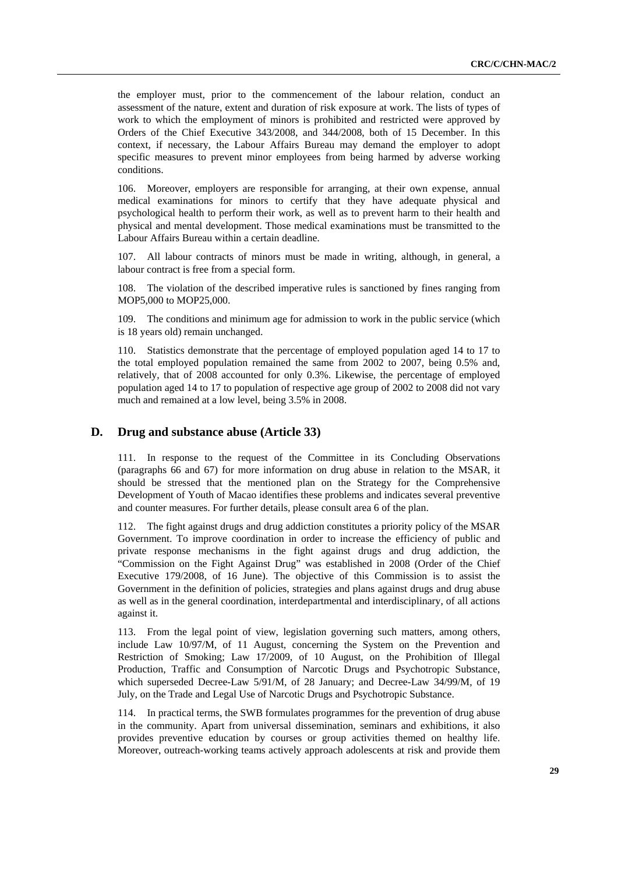the employer must, prior to the commencement of the labour relation, conduct an assessment of the nature, extent and duration of risk exposure at work. The lists of types of work to which the employment of minors is prohibited and restricted were approved by Orders of the Chief Executive 343/2008, and 344/2008, both of 15 December. In this context, if necessary, the Labour Affairs Bureau may demand the employer to adopt specific measures to prevent minor employees from being harmed by adverse working conditions.

106. Moreover, employers are responsible for arranging, at their own expense, annual medical examinations for minors to certify that they have adequate physical and psychological health to perform their work, as well as to prevent harm to their health and physical and mental development. Those medical examinations must be transmitted to the Labour Affairs Bureau within a certain deadline.

107. All labour contracts of minors must be made in writing, although, in general, a labour contract is free from a special form.

108. The violation of the described imperative rules is sanctioned by fines ranging from MOP5,000 to MOP25,000.

109. The conditions and minimum age for admission to work in the public service (which is 18 years old) remain unchanged.

110. Statistics demonstrate that the percentage of employed population aged 14 to 17 to the total employed population remained the same from 2002 to 2007, being 0.5% and, relatively, that of 2008 accounted for only 0.3%. Likewise, the percentage of employed population aged 14 to 17 to population of respective age group of 2002 to 2008 did not vary much and remained at a low level, being 3.5% in 2008.

### **D. Drug and substance abuse (Article 33)**

111. In response to the request of the Committee in its Concluding Observations (paragraphs 66 and 67) for more information on drug abuse in relation to the MSAR, it should be stressed that the mentioned plan on the Strategy for the Comprehensive Development of Youth of Macao identifies these problems and indicates several preventive and counter measures. For further details, please consult area 6 of the plan.

112. The fight against drugs and drug addiction constitutes a priority policy of the MSAR Government. To improve coordination in order to increase the efficiency of public and private response mechanisms in the fight against drugs and drug addiction, the "Commission on the Fight Against Drug" was established in 2008 (Order of the Chief Executive 179/2008, of 16 June). The objective of this Commission is to assist the Government in the definition of policies, strategies and plans against drugs and drug abuse as well as in the general coordination, interdepartmental and interdisciplinary, of all actions against it.

113. From the legal point of view, legislation governing such matters, among others, include Law 10/97/M, of 11 August, concerning the System on the Prevention and Restriction of Smoking; Law 17/2009, of 10 August, on the Prohibition of Illegal Production, Traffic and Consumption of Narcotic Drugs and Psychotropic Substance, which superseded Decree-Law 5/91/M, of 28 January; and Decree-Law 34/99/M, of 19 July, on the Trade and Legal Use of Narcotic Drugs and Psychotropic Substance.

114. In practical terms, the SWB formulates programmes for the prevention of drug abuse in the community. Apart from universal dissemination, seminars and exhibitions, it also provides preventive education by courses or group activities themed on healthy life. Moreover, outreach-working teams actively approach adolescents at risk and provide them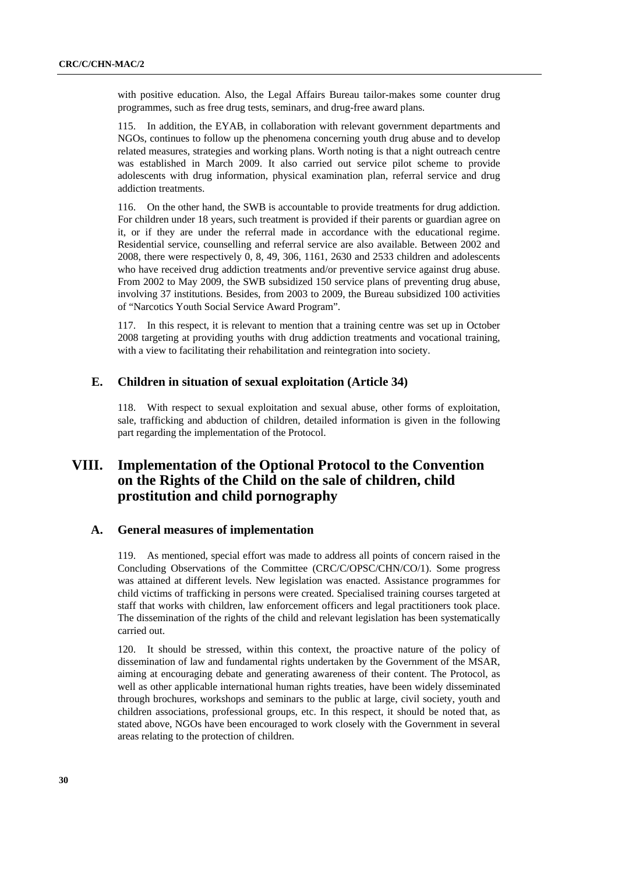with positive education. Also, the Legal Affairs Bureau tailor-makes some counter drug programmes, such as free drug tests, seminars, and drug-free award plans.

115. In addition, the EYAB, in collaboration with relevant government departments and NGOs, continues to follow up the phenomena concerning youth drug abuse and to develop related measures, strategies and working plans. Worth noting is that a night outreach centre was established in March 2009. It also carried out service pilot scheme to provide adolescents with drug information, physical examination plan, referral service and drug addiction treatments.

116. On the other hand, the SWB is accountable to provide treatments for drug addiction. For children under 18 years, such treatment is provided if their parents or guardian agree on it, or if they are under the referral made in accordance with the educational regime. Residential service, counselling and referral service are also available. Between 2002 and 2008, there were respectively 0, 8, 49, 306, 1161, 2630 and 2533 children and adolescents who have received drug addiction treatments and/or preventive service against drug abuse. From 2002 to May 2009, the SWB subsidized 150 service plans of preventing drug abuse, involving 37 institutions. Besides, from 2003 to 2009, the Bureau subsidized 100 activities of "Narcotics Youth Social Service Award Program".

117. In this respect, it is relevant to mention that a training centre was set up in October 2008 targeting at providing youths with drug addiction treatments and vocational training, with a view to facilitating their rehabilitation and reintegration into society.

### **E. Children in situation of sexual exploitation (Article 34)**

118. With respect to sexual exploitation and sexual abuse, other forms of exploitation, sale, trafficking and abduction of children, detailed information is given in the following part regarding the implementation of the Protocol.

# **VIII. Implementation of the Optional Protocol to the Convention on the Rights of the Child on the sale of children, child prostitution and child pornography**

### **A. General measures of implementation**

As mentioned, special effort was made to address all points of concern raised in the Concluding Observations of the Committee (CRC/C/OPSC/CHN/CO/1). Some progress was attained at different levels. New legislation was enacted. Assistance programmes for child victims of trafficking in persons were created. Specialised training courses targeted at staff that works with children, law enforcement officers and legal practitioners took place. The dissemination of the rights of the child and relevant legislation has been systematically carried out.

120. It should be stressed, within this context, the proactive nature of the policy of dissemination of law and fundamental rights undertaken by the Government of the MSAR, aiming at encouraging debate and generating awareness of their content. The Protocol, as well as other applicable international human rights treaties, have been widely disseminated through brochures, workshops and seminars to the public at large, civil society, youth and children associations, professional groups, etc. In this respect, it should be noted that, as stated above, NGOs have been encouraged to work closely with the Government in several areas relating to the protection of children.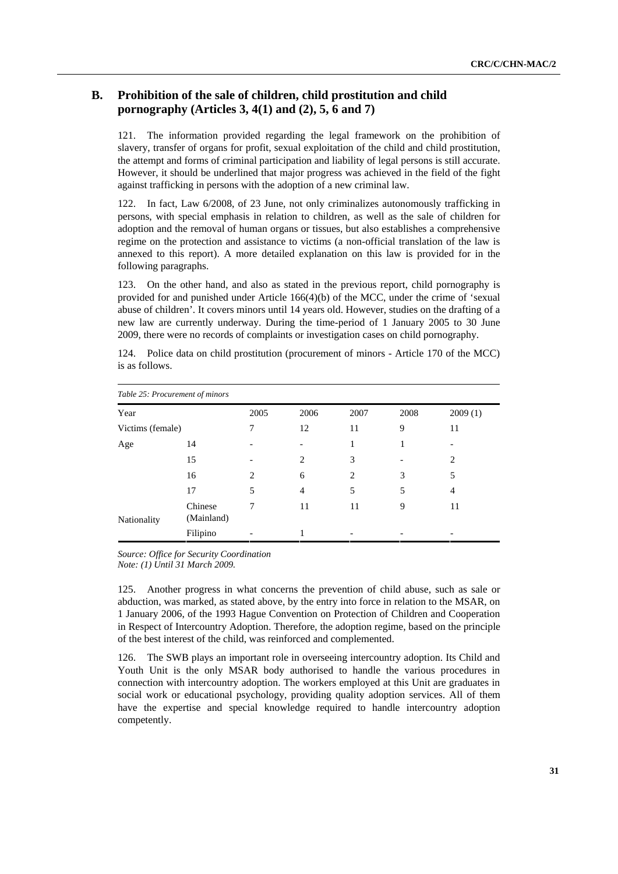# **B. Prohibition of the sale of children, child prostitution and child pornography (Articles 3, 4(1) and (2), 5, 6 and 7)**

121. The information provided regarding the legal framework on the prohibition of slavery, transfer of organs for profit, sexual exploitation of the child and child prostitution, the attempt and forms of criminal participation and liability of legal persons is still accurate. However, it should be underlined that major progress was achieved in the field of the fight against trafficking in persons with the adoption of a new criminal law.

122. In fact, Law 6/2008, of 23 June, not only criminalizes autonomously trafficking in persons, with special emphasis in relation to children, as well as the sale of children for adoption and the removal of human organs or tissues, but also establishes a comprehensive regime on the protection and assistance to victims (a non-official translation of the law is annexed to this report). A more detailed explanation on this law is provided for in the following paragraphs.

123. On the other hand, and also as stated in the previous report, child pornography is provided for and punished under Article 166(4)(b) of the MCC, under the crime of 'sexual abuse of children'. It covers minors until 14 years old. However, studies on the drafting of a new law are currently underway. During the time-period of 1 January 2005 to 30 June 2009, there were no records of complaints or investigation cases on child pornography.

| Table 25: Procurement of minors |                       |      |                |      |      |         |  |  |  |  |
|---------------------------------|-----------------------|------|----------------|------|------|---------|--|--|--|--|
| Year                            |                       | 2005 | 2006           | 2007 | 2008 | 2009(1) |  |  |  |  |
| Victims (female)                |                       | 7    | 12             | 11   | 9    | 11      |  |  |  |  |
| Age                             | 14                    |      |                |      |      |         |  |  |  |  |
|                                 | 15                    |      | $\overline{c}$ | 3    |      | 2       |  |  |  |  |
|                                 | 16                    | 2    | 6              | 2    | 3    | 5       |  |  |  |  |
|                                 | 17                    | 5    | 4              | 5    | 5    | 4       |  |  |  |  |
| Nationality                     | Chinese<br>(Mainland) | 7    | 11             | 11   | 9    | 11      |  |  |  |  |
|                                 | Filipino              |      |                |      |      |         |  |  |  |  |

124. Police data on child prostitution (procurement of minors - Article 170 of the MCC) is as follows.

*Source: Office for Security Coordination* 

*Note: (1) Until 31 March 2009.* 

125. Another progress in what concerns the prevention of child abuse, such as sale or abduction, was marked, as stated above, by the entry into force in relation to the MSAR, on 1 January 2006, of the 1993 Hague Convention on Protection of Children and Cooperation in Respect of Intercountry Adoption. Therefore, the adoption regime, based on the principle of the best interest of the child, was reinforced and complemented.

126. The SWB plays an important role in overseeing intercountry adoption. Its Child and Youth Unit is the only MSAR body authorised to handle the various procedures in connection with intercountry adoption. The workers employed at this Unit are graduates in social work or educational psychology, providing quality adoption services. All of them have the expertise and special knowledge required to handle intercountry adoption competently.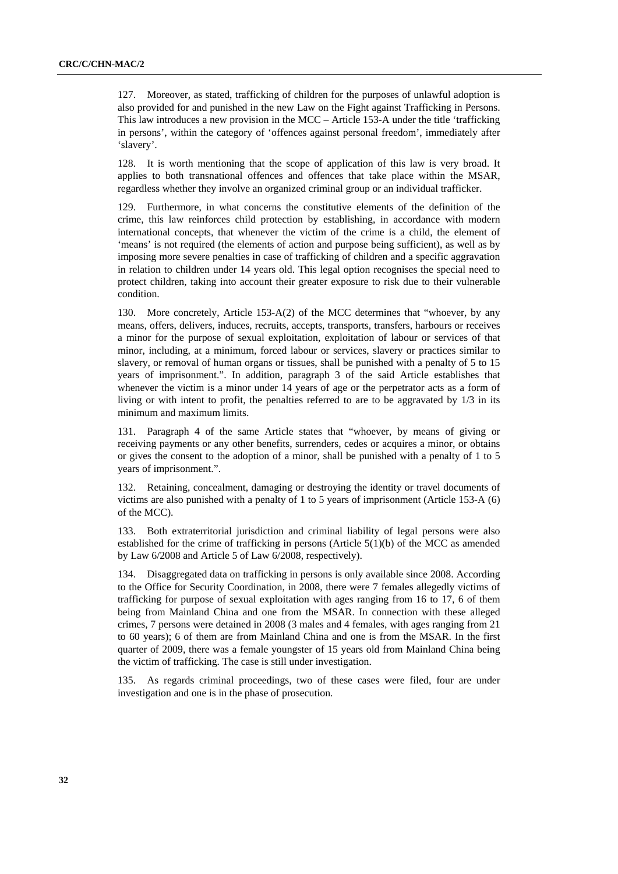127. Moreover, as stated, trafficking of children for the purposes of unlawful adoption is also provided for and punished in the new Law on the Fight against Trafficking in Persons. This law introduces a new provision in the MCC – Article 153-A under the title 'trafficking in persons', within the category of 'offences against personal freedom', immediately after 'slavery'.

128. It is worth mentioning that the scope of application of this law is very broad. It applies to both transnational offences and offences that take place within the MSAR, regardless whether they involve an organized criminal group or an individual trafficker.

129. Furthermore, in what concerns the constitutive elements of the definition of the crime, this law reinforces child protection by establishing, in accordance with modern international concepts, that whenever the victim of the crime is a child, the element of 'means' is not required (the elements of action and purpose being sufficient), as well as by imposing more severe penalties in case of trafficking of children and a specific aggravation in relation to children under 14 years old. This legal option recognises the special need to protect children, taking into account their greater exposure to risk due to their vulnerable condition.

130. More concretely, Article 153-A(2) of the MCC determines that "whoever, by any means, offers, delivers, induces, recruits, accepts, transports, transfers, harbours or receives a minor for the purpose of sexual exploitation, exploitation of labour or services of that minor, including, at a minimum, forced labour or services, slavery or practices similar to slavery, or removal of human organs or tissues, shall be punished with a penalty of 5 to 15 years of imprisonment.". In addition, paragraph 3 of the said Article establishes that whenever the victim is a minor under 14 years of age or the perpetrator acts as a form of living or with intent to profit, the penalties referred to are to be aggravated by 1/3 in its minimum and maximum limits.

131. Paragraph 4 of the same Article states that "whoever, by means of giving or receiving payments or any other benefits, surrenders, cedes or acquires a minor, or obtains or gives the consent to the adoption of a minor, shall be punished with a penalty of 1 to 5 years of imprisonment.".

132. Retaining, concealment, damaging or destroying the identity or travel documents of victims are also punished with a penalty of 1 to 5 years of imprisonment (Article 153-A (6) of the MCC).

133. Both extraterritorial jurisdiction and criminal liability of legal persons were also established for the crime of trafficking in persons (Article  $5(1)(b)$  of the MCC as amended by Law 6/2008 and Article 5 of Law 6/2008, respectively).

134. Disaggregated data on trafficking in persons is only available since 2008. According to the Office for Security Coordination, in 2008, there were 7 females allegedly victims of trafficking for purpose of sexual exploitation with ages ranging from 16 to 17, 6 of them being from Mainland China and one from the MSAR. In connection with these alleged crimes, 7 persons were detained in 2008 (3 males and 4 females, with ages ranging from 21 to 60 years); 6 of them are from Mainland China and one is from the MSAR. In the first quarter of 2009, there was a female youngster of 15 years old from Mainland China being the victim of trafficking. The case is still under investigation.

135. As regards criminal proceedings, two of these cases were filed, four are under investigation and one is in the phase of prosecution.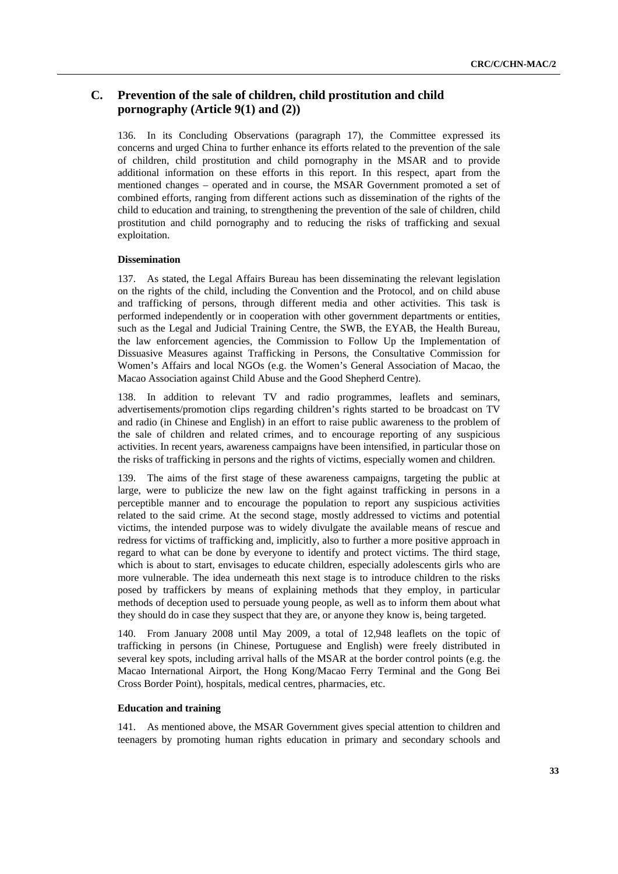# **C. Prevention of the sale of children, child prostitution and child pornography (Article 9(1) and (2))**

136. In its Concluding Observations (paragraph 17), the Committee expressed its concerns and urged China to further enhance its efforts related to the prevention of the sale of children, child prostitution and child pornography in the MSAR and to provide additional information on these efforts in this report. In this respect, apart from the mentioned changes – operated and in course, the MSAR Government promoted a set of combined efforts, ranging from different actions such as dissemination of the rights of the child to education and training, to strengthening the prevention of the sale of children, child prostitution and child pornography and to reducing the risks of trafficking and sexual exploitation.

#### **Dissemination**

137. As stated, the Legal Affairs Bureau has been disseminating the relevant legislation on the rights of the child, including the Convention and the Protocol, and on child abuse and trafficking of persons, through different media and other activities. This task is performed independently or in cooperation with other government departments or entities, such as the Legal and Judicial Training Centre, the SWB, the EYAB, the Health Bureau, the law enforcement agencies, the Commission to Follow Up the Implementation of Dissuasive Measures against Trafficking in Persons, the Consultative Commission for Women's Affairs and local NGOs (e.g. the Women's General Association of Macao, the Macao Association against Child Abuse and the Good Shepherd Centre).

138. In addition to relevant TV and radio programmes, leaflets and seminars, advertisements/promotion clips regarding children's rights started to be broadcast on TV and radio (in Chinese and English) in an effort to raise public awareness to the problem of the sale of children and related crimes, and to encourage reporting of any suspicious activities. In recent years, awareness campaigns have been intensified, in particular those on the risks of trafficking in persons and the rights of victims, especially women and children.

139. The aims of the first stage of these awareness campaigns, targeting the public at large, were to publicize the new law on the fight against trafficking in persons in a perceptible manner and to encourage the population to report any suspicious activities related to the said crime. At the second stage, mostly addressed to victims and potential victims, the intended purpose was to widely divulgate the available means of rescue and redress for victims of trafficking and, implicitly, also to further a more positive approach in regard to what can be done by everyone to identify and protect victims. The third stage, which is about to start, envisages to educate children, especially adolescents girls who are more vulnerable. The idea underneath this next stage is to introduce children to the risks posed by traffickers by means of explaining methods that they employ, in particular methods of deception used to persuade young people, as well as to inform them about what they should do in case they suspect that they are, or anyone they know is, being targeted.

140. From January 2008 until May 2009, a total of 12,948 leaflets on the topic of trafficking in persons (in Chinese, Portuguese and English) were freely distributed in several key spots, including arrival halls of the MSAR at the border control points (e.g. the Macao International Airport, the Hong Kong/Macao Ferry Terminal and the Gong Bei Cross Border Point), hospitals, medical centres, pharmacies, etc.

#### **Education and training**

141. As mentioned above, the MSAR Government gives special attention to children and teenagers by promoting human rights education in primary and secondary schools and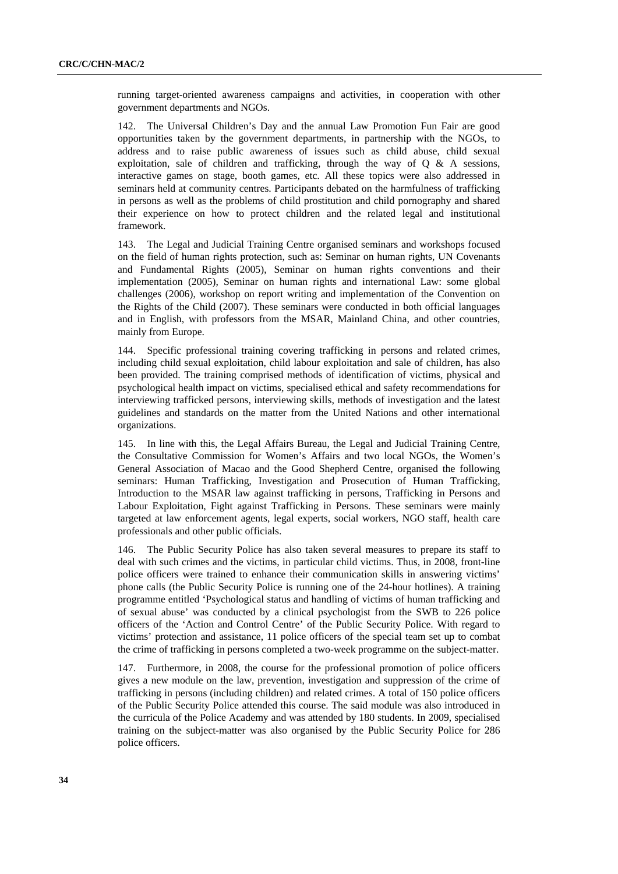running target-oriented awareness campaigns and activities, in cooperation with other government departments and NGOs.

142. The Universal Children's Day and the annual Law Promotion Fun Fair are good opportunities taken by the government departments, in partnership with the NGOs, to address and to raise public awareness of issues such as child abuse, child sexual exploitation, sale of children and trafficking, through the way of  $Q \& A$  sessions, interactive games on stage, booth games, etc. All these topics were also addressed in seminars held at community centres. Participants debated on the harmfulness of trafficking in persons as well as the problems of child prostitution and child pornography and shared their experience on how to protect children and the related legal and institutional framework.

143. The Legal and Judicial Training Centre organised seminars and workshops focused on the field of human rights protection, such as: Seminar on human rights, UN Covenants and Fundamental Rights (2005), Seminar on human rights conventions and their implementation (2005), Seminar on human rights and international Law: some global challenges (2006), workshop on report writing and implementation of the Convention on the Rights of the Child (2007). These seminars were conducted in both official languages and in English, with professors from the MSAR, Mainland China, and other countries, mainly from Europe.

144. Specific professional training covering trafficking in persons and related crimes, including child sexual exploitation, child labour exploitation and sale of children, has also been provided. The training comprised methods of identification of victims, physical and psychological health impact on victims, specialised ethical and safety recommendations for interviewing trafficked persons, interviewing skills, methods of investigation and the latest guidelines and standards on the matter from the United Nations and other international organizations.

145. In line with this, the Legal Affairs Bureau, the Legal and Judicial Training Centre, the Consultative Commission for Women's Affairs and two local NGOs, the Women's General Association of Macao and the Good Shepherd Centre, organised the following seminars: Human Trafficking, Investigation and Prosecution of Human Trafficking, Introduction to the MSAR law against trafficking in persons, Trafficking in Persons and Labour Exploitation, Fight against Trafficking in Persons. These seminars were mainly targeted at law enforcement agents, legal experts, social workers, NGO staff, health care professionals and other public officials.

146. The Public Security Police has also taken several measures to prepare its staff to deal with such crimes and the victims, in particular child victims. Thus, in 2008, front-line police officers were trained to enhance their communication skills in answering victims' phone calls (the Public Security Police is running one of the 24-hour hotlines). A training programme entitled 'Psychological status and handling of victims of human trafficking and of sexual abuse' was conducted by a clinical psychologist from the SWB to 226 police officers of the 'Action and Control Centre' of the Public Security Police. With regard to victims' protection and assistance, 11 police officers of the special team set up to combat the crime of trafficking in persons completed a two-week programme on the subject-matter.

147. Furthermore, in 2008, the course for the professional promotion of police officers gives a new module on the law, prevention, investigation and suppression of the crime of trafficking in persons (including children) and related crimes. A total of 150 police officers of the Public Security Police attended this course. The said module was also introduced in the curricula of the Police Academy and was attended by 180 students. In 2009, specialised training on the subject-matter was also organised by the Public Security Police for 286 police officers.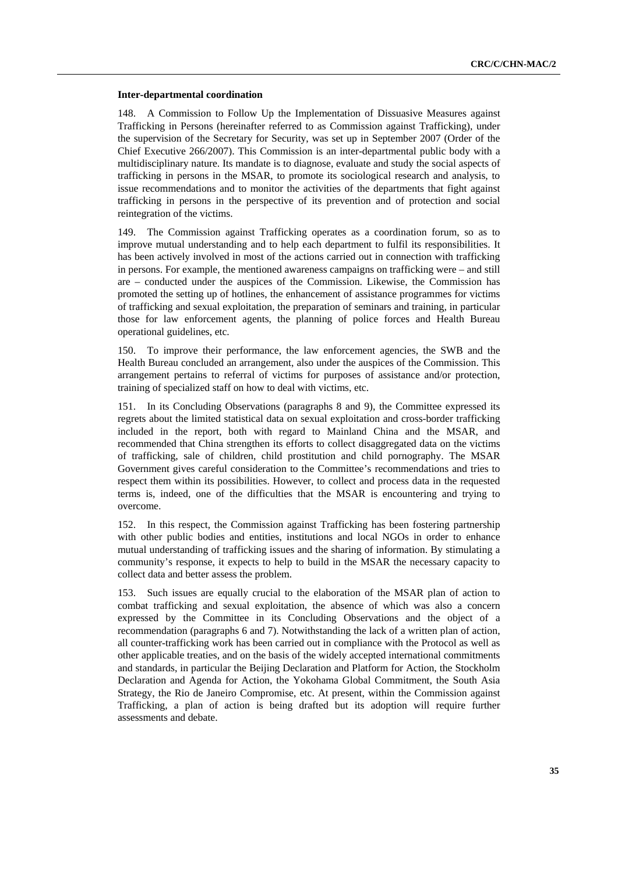#### **Inter-departmental coordination**

148. A Commission to Follow Up the Implementation of Dissuasive Measures against Trafficking in Persons (hereinafter referred to as Commission against Trafficking), under the supervision of the Secretary for Security, was set up in September 2007 (Order of the Chief Executive 266/2007). This Commission is an inter-departmental public body with a multidisciplinary nature. Its mandate is to diagnose, evaluate and study the social aspects of trafficking in persons in the MSAR, to promote its sociological research and analysis, to issue recommendations and to monitor the activities of the departments that fight against trafficking in persons in the perspective of its prevention and of protection and social reintegration of the victims.

149. The Commission against Trafficking operates as a coordination forum, so as to improve mutual understanding and to help each department to fulfil its responsibilities. It has been actively involved in most of the actions carried out in connection with trafficking in persons. For example, the mentioned awareness campaigns on trafficking were – and still are – conducted under the auspices of the Commission. Likewise, the Commission has promoted the setting up of hotlines, the enhancement of assistance programmes for victims of trafficking and sexual exploitation, the preparation of seminars and training, in particular those for law enforcement agents, the planning of police forces and Health Bureau operational guidelines, etc.

150. To improve their performance, the law enforcement agencies, the SWB and the Health Bureau concluded an arrangement, also under the auspices of the Commission. This arrangement pertains to referral of victims for purposes of assistance and/or protection, training of specialized staff on how to deal with victims, etc.

151. In its Concluding Observations (paragraphs 8 and 9), the Committee expressed its regrets about the limited statistical data on sexual exploitation and cross-border trafficking included in the report, both with regard to Mainland China and the MSAR, and recommended that China strengthen its efforts to collect disaggregated data on the victims of trafficking, sale of children, child prostitution and child pornography. The MSAR Government gives careful consideration to the Committee's recommendations and tries to respect them within its possibilities. However, to collect and process data in the requested terms is, indeed, one of the difficulties that the MSAR is encountering and trying to overcome.

152. In this respect, the Commission against Trafficking has been fostering partnership with other public bodies and entities, institutions and local NGOs in order to enhance mutual understanding of trafficking issues and the sharing of information. By stimulating a community's response, it expects to help to build in the MSAR the necessary capacity to collect data and better assess the problem.

153. Such issues are equally crucial to the elaboration of the MSAR plan of action to combat trafficking and sexual exploitation, the absence of which was also a concern expressed by the Committee in its Concluding Observations and the object of a recommendation (paragraphs 6 and 7). Notwithstanding the lack of a written plan of action, all counter-trafficking work has been carried out in compliance with the Protocol as well as other applicable treaties, and on the basis of the widely accepted international commitments and standards, in particular the Beijing Declaration and Platform for Action, the Stockholm Declaration and Agenda for Action, the Yokohama Global Commitment, the South Asia Strategy, the Rio de Janeiro Compromise, etc. At present, within the Commission against Trafficking, a plan of action is being drafted but its adoption will require further assessments and debate.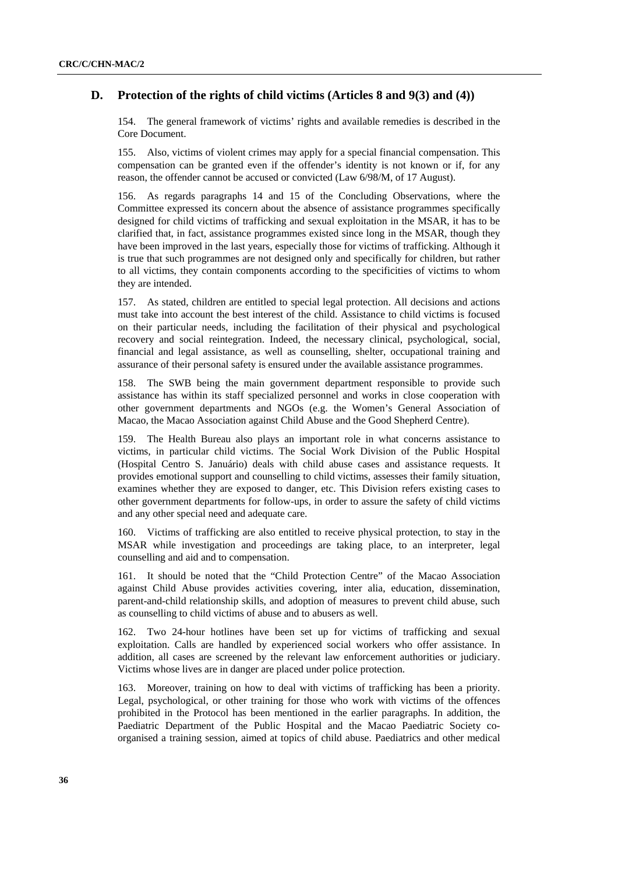## **D. Protection of the rights of child victims (Articles 8 and 9(3) and (4))**

154. The general framework of victims' rights and available remedies is described in the Core Document.

155. Also, victims of violent crimes may apply for a special financial compensation. This compensation can be granted even if the offender's identity is not known or if, for any reason, the offender cannot be accused or convicted (Law 6/98/M, of 17 August).

156. As regards paragraphs 14 and 15 of the Concluding Observations, where the Committee expressed its concern about the absence of assistance programmes specifically designed for child victims of trafficking and sexual exploitation in the MSAR, it has to be clarified that, in fact, assistance programmes existed since long in the MSAR, though they have been improved in the last years, especially those for victims of trafficking. Although it is true that such programmes are not designed only and specifically for children, but rather to all victims, they contain components according to the specificities of victims to whom they are intended.

157. As stated, children are entitled to special legal protection. All decisions and actions must take into account the best interest of the child. Assistance to child victims is focused on their particular needs, including the facilitation of their physical and psychological recovery and social reintegration. Indeed, the necessary clinical, psychological, social, financial and legal assistance, as well as counselling, shelter, occupational training and assurance of their personal safety is ensured under the available assistance programmes.

158. The SWB being the main government department responsible to provide such assistance has within its staff specialized personnel and works in close cooperation with other government departments and NGOs (e.g. the Women's General Association of Macao, the Macao Association against Child Abuse and the Good Shepherd Centre).

159. The Health Bureau also plays an important role in what concerns assistance to victims, in particular child victims. The Social Work Division of the Public Hospital (Hospital Centro S. Januário) deals with child abuse cases and assistance requests. It provides emotional support and counselling to child victims, assesses their family situation, examines whether they are exposed to danger, etc. This Division refers existing cases to other government departments for follow-ups, in order to assure the safety of child victims and any other special need and adequate care.

160. Victims of trafficking are also entitled to receive physical protection, to stay in the MSAR while investigation and proceedings are taking place, to an interpreter, legal counselling and aid and to compensation.

161. It should be noted that the "Child Protection Centre" of the Macao Association against Child Abuse provides activities covering, inter alia, education, dissemination, parent-and-child relationship skills, and adoption of measures to prevent child abuse, such as counselling to child victims of abuse and to abusers as well.

162. Two 24-hour hotlines have been set up for victims of trafficking and sexual exploitation. Calls are handled by experienced social workers who offer assistance. In addition, all cases are screened by the relevant law enforcement authorities or judiciary. Victims whose lives are in danger are placed under police protection.

163. Moreover, training on how to deal with victims of trafficking has been a priority. Legal, psychological, or other training for those who work with victims of the offences prohibited in the Protocol has been mentioned in the earlier paragraphs. In addition, the Paediatric Department of the Public Hospital and the Macao Paediatric Society coorganised a training session, aimed at topics of child abuse. Paediatrics and other medical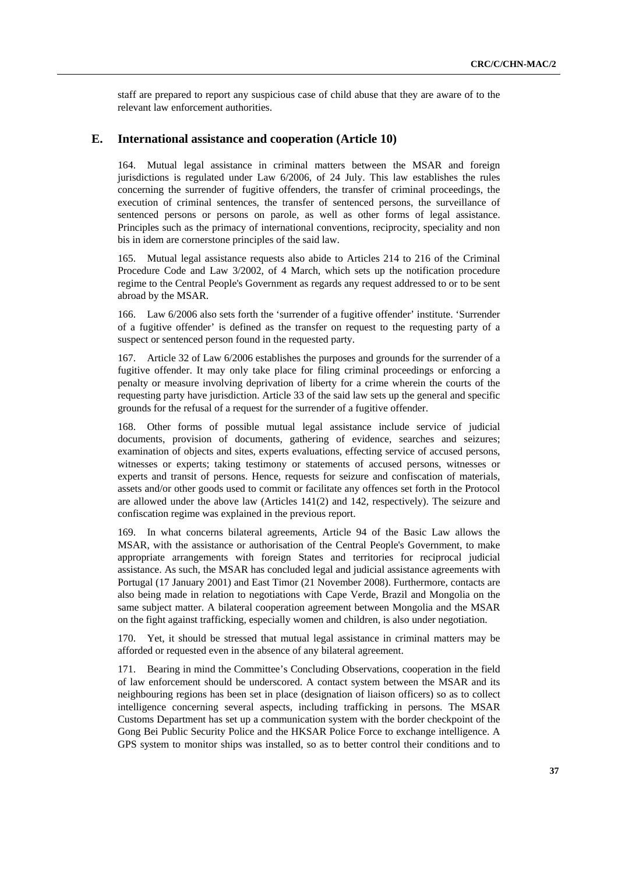staff are prepared to report any suspicious case of child abuse that they are aware of to the relevant law enforcement authorities.

#### **E. International assistance and cooperation (Article 10)**

164. Mutual legal assistance in criminal matters between the MSAR and foreign jurisdictions is regulated under Law 6/2006, of 24 July. This law establishes the rules concerning the surrender of fugitive offenders, the transfer of criminal proceedings, the execution of criminal sentences, the transfer of sentenced persons, the surveillance of sentenced persons or persons on parole, as well as other forms of legal assistance. Principles such as the primacy of international conventions, reciprocity, speciality and non bis in idem are cornerstone principles of the said law.

165. Mutual legal assistance requests also abide to Articles 214 to 216 of the Criminal Procedure Code and Law 3/2002, of 4 March, which sets up the notification procedure regime to the Central People's Government as regards any request addressed to or to be sent abroad by the MSAR.

166. Law 6/2006 also sets forth the 'surrender of a fugitive offender' institute. 'Surrender of a fugitive offender' is defined as the transfer on request to the requesting party of a suspect or sentenced person found in the requested party.

167. Article 32 of Law 6/2006 establishes the purposes and grounds for the surrender of a fugitive offender. It may only take place for filing criminal proceedings or enforcing a penalty or measure involving deprivation of liberty for a crime wherein the courts of the requesting party have jurisdiction. Article 33 of the said law sets up the general and specific grounds for the refusal of a request for the surrender of a fugitive offender.

168. Other forms of possible mutual legal assistance include service of judicial documents, provision of documents, gathering of evidence, searches and seizures; examination of objects and sites, experts evaluations, effecting service of accused persons, witnesses or experts; taking testimony or statements of accused persons, witnesses or experts and transit of persons. Hence, requests for seizure and confiscation of materials, assets and/or other goods used to commit or facilitate any offences set forth in the Protocol are allowed under the above law (Articles 141(2) and 142, respectively). The seizure and confiscation regime was explained in the previous report.

169. In what concerns bilateral agreements, Article 94 of the Basic Law allows the MSAR, with the assistance or authorisation of the Central People's Government, to make appropriate arrangements with foreign States and territories for reciprocal judicial assistance. As such, the MSAR has concluded legal and judicial assistance agreements with Portugal (17 January 2001) and East Timor (21 November 2008). Furthermore, contacts are also being made in relation to negotiations with Cape Verde, Brazil and Mongolia on the same subject matter. A bilateral cooperation agreement between Mongolia and the MSAR on the fight against trafficking, especially women and children, is also under negotiation.

170. Yet, it should be stressed that mutual legal assistance in criminal matters may be afforded or requested even in the absence of any bilateral agreement.

171. Bearing in mind the Committee's Concluding Observations, cooperation in the field of law enforcement should be underscored. A contact system between the MSAR and its neighbouring regions has been set in place (designation of liaison officers) so as to collect intelligence concerning several aspects, including trafficking in persons. The MSAR Customs Department has set up a communication system with the border checkpoint of the Gong Bei Public Security Police and the HKSAR Police Force to exchange intelligence. A GPS system to monitor ships was installed, so as to better control their conditions and to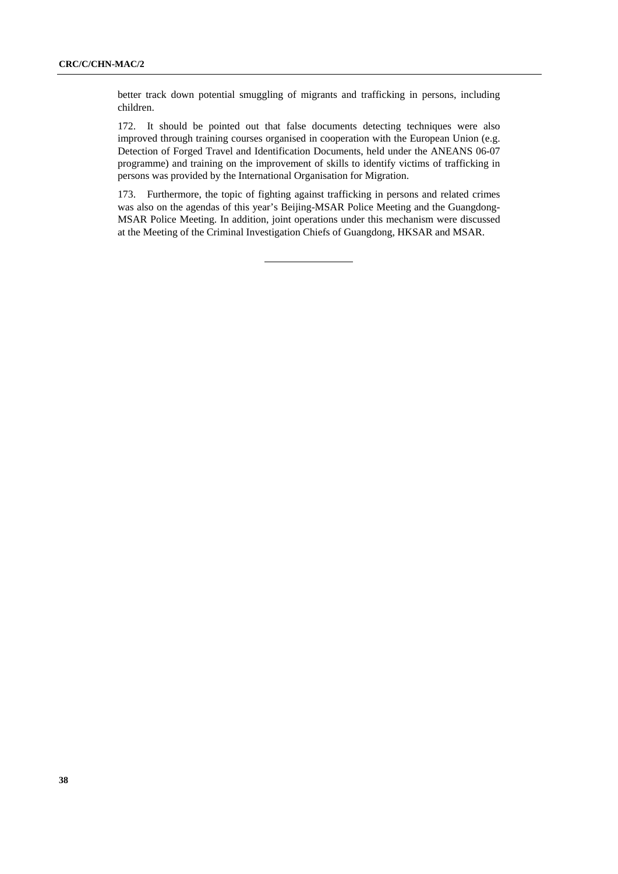better track down potential smuggling of migrants and trafficking in persons, including children.

172. It should be pointed out that false documents detecting techniques were also improved through training courses organised in cooperation with the European Union (e.g. Detection of Forged Travel and Identification Documents, held under the ANEANS 06-07 programme) and training on the improvement of skills to identify victims of trafficking in persons was provided by the International Organisation for Migration.

173. Furthermore, the topic of fighting against trafficking in persons and related crimes was also on the agendas of this year's Beijing-MSAR Police Meeting and the Guangdong-MSAR Police Meeting. In addition, joint operations under this mechanism were discussed at the Meeting of the Criminal Investigation Chiefs of Guangdong, HKSAR and MSAR.

 $\overline{a}$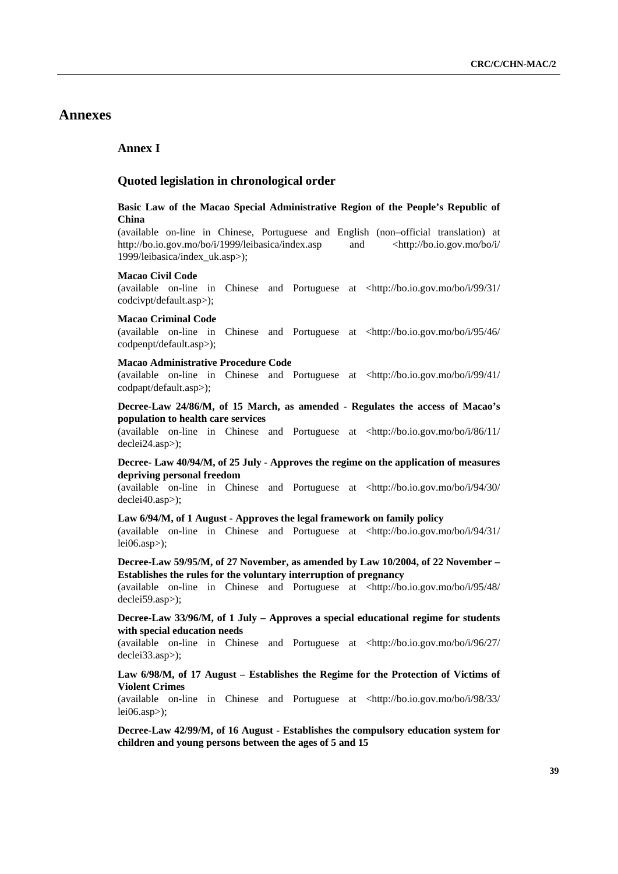# **Annexes**

### **Annex I**

# **Quoted legislation in chronological order**

#### **Basic Law of the Macao Special Administrative Region of the People's Republic of China**

(available on-line in Chinese, Portuguese and English (non–official translation) at <http://bo.io.gov.mo/bo/i/1999/leibasica/index.asp> and <http://bo.io.gov.mo/bo/i/ 1999/leibasica/index\_uk.asp>);

#### **Macao Civil Code**

(available on-line in Chinese and Portuguese at <http://bo.io.gov.mo/bo/i/99/31/ codcivpt/default.asp>);

#### **Macao Criminal Code**

(available on-line in Chinese and Portuguese at <http://bo.io.gov.mo/bo/i/95/46/ codpenpt/default.asp>);

#### **Macao Administrative Procedure Code**

(available on-line in Chinese and Portuguese at [<http://bo.io.gov.mo/bo/i/99/41/](http://bo.io.gov.mo/bo/i/99/41/) codpapt/default.asp>);

#### **Decree-Law 24/86/M, of 15 March, as amended - Regulates the access of Macao's population to health care services**

(available on-line in Chinese and Portuguese at <http://bo.io.gov.mo/bo/i/86/11/ declei24.asp>);

#### **Decree- Law 40/94/M, of 25 July - Approves the regime on the application of measures depriving personal freedom**

(available on-line in Chinese and Portuguese at <http://bo.io.gov.mo/bo/i/94/30/ declei40.asp>);

#### **Law 6/94/M, of 1 August - Approves the legal framework on family policy**

(available on-line in Chinese and Portuguese at <http://bo.io.gov.mo/bo/i/94/31/ lei06.asp>);

#### **Decree-Law 59/95/M, of 27 November, as amended by Law 10/2004, of 22 November – Establishes the rules for the voluntary interruption of pregnancy**

(available on-line in Chinese and Portuguese at <http://bo.io.gov.mo/bo/i/95/48/ declei59.asp>);

#### **Decree-Law 33/96/M, of 1 July – Approves a special educational regime for students with special education needs**

(available on-line in Chinese and Portuguese at <http://bo.io.gov.mo/bo/i/96/27/ declei33.asp>);

#### **Law 6/98/M, of 17 August – Establishes the Regime for the Protection of Victims of Violent Crimes**

(available on-line in Chinese and Portuguese at <http://bo.io.gov.mo/bo/i/98/33/ lei $06.$ asp>);

**Decree-Law 42/99/M, of 16 August - Establishes the compulsory education system for children and young persons between the ages of 5 and 15**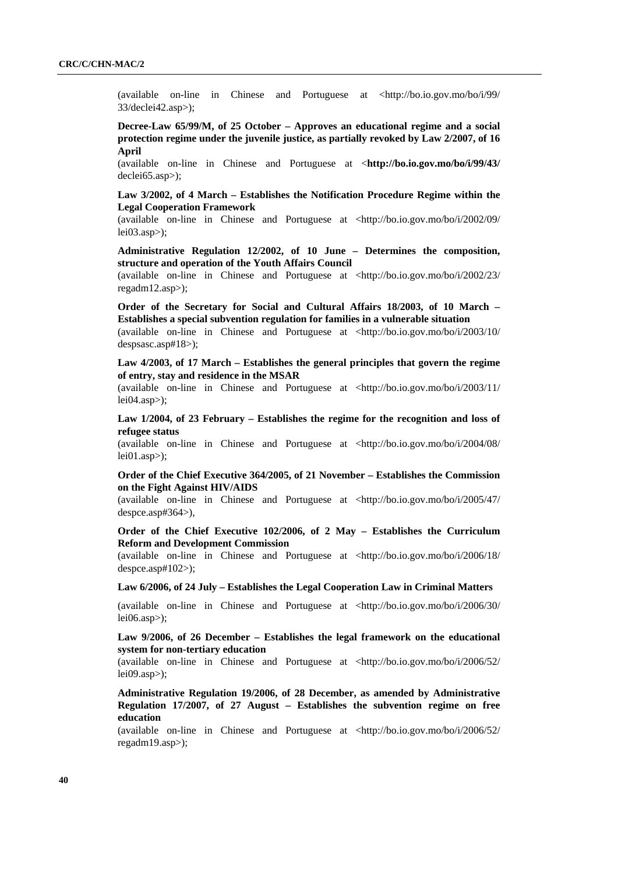(available on-line in Chinese and Portuguese at <http://bo.io.gov.mo/bo/i/99/ 33/declei42.asp>);

**Decree-Law 65/99/M, of 25 October – Approves an educational regime and a social protection regime under the juvenile justice, as partially revoked by Law 2/2007, of 16 April** 

(available on-line in Chinese and Portuguese at <**<http://bo.io.gov.mo/bo/i/99/43/>** declei65.asp>);

#### **Law 3/2002, of 4 March – Establishes the Notification Procedure Regime within the Legal Cooperation Framework**

(available on-line in Chinese and Portuguese at <http://bo.io.gov.mo/bo/i/2002/09/  $lei03.$ asp $>$ );

**Administrative Regulation 12/2002, of 10 June – Determines the composition, structure and operation of the Youth Affairs Council** 

(available on-line in Chinese and Portuguese at <http://bo.io.gov.mo/bo/i/2002/23/ regadm12.asp>);

**Order of the Secretary for Social and Cultural Affairs 18/2003, of 10 March – Establishes a special subvention regulation for families in a vulnerable situation** 

(available on-line in Chinese and Portuguese at <http://bo.io.gov.mo/bo/i/2003/10/ despsasc.asp#18>);

**Law 4/2003, of 17 March – Establishes the general principles that govern the regime of entry, stay and residence in the MSAR** 

(available on-line in Chinese and Portuguese at <http://bo.io.gov.mo/bo/i/2003/11/ lei04.asp>);

**Law 1/2004, of 23 February – Establishes the regime for the recognition and loss of refugee status** 

(available on-line in Chinese and Portuguese at <http://bo.io.gov.mo/bo/i/2004/08/  $lei01.$ asp $>$ );

**Order of the Chief Executive 364/2005, of 21 November – Establishes the Commission on the Fight Against HIV/AIDS** 

(available on-line in Chinese and Portuguese at <http://bo.io.gov.mo/bo/i/2005/47/ despce.asp#364>),

### **Order of the Chief Executive 102/2006, of 2 May – Establishes the Curriculum Reform and Development Commission**

(available on-line in Chinese and Portuguese at <http://bo.io.gov.mo/bo/i/2006/18/ despce.asp# $102$ );

#### **Law 6/2006, of 24 July – Establishes the Legal Cooperation Law in Criminal Matters**

(available on-line in Chinese and Portuguese at <http://bo.io.gov.mo/bo/i/2006/30/ lei06.asp>);

#### **Law 9/2006, of 26 December – Establishes the legal framework on the educational system for non-tertiary education**

(available on-line in Chinese and Portuguese at <http://bo.io.gov.mo/bo/i/2006/52/ lei09.asp>);

**Administrative Regulation 19/2006, of 28 December, as amended by Administrative Regulation 17/2007, of 27 August – Establishes the subvention regime on free education** 

(available on-line in Chinese and Portuguese at <http://bo.io.gov.mo/bo/i/2006/52/ regadm19.asp>);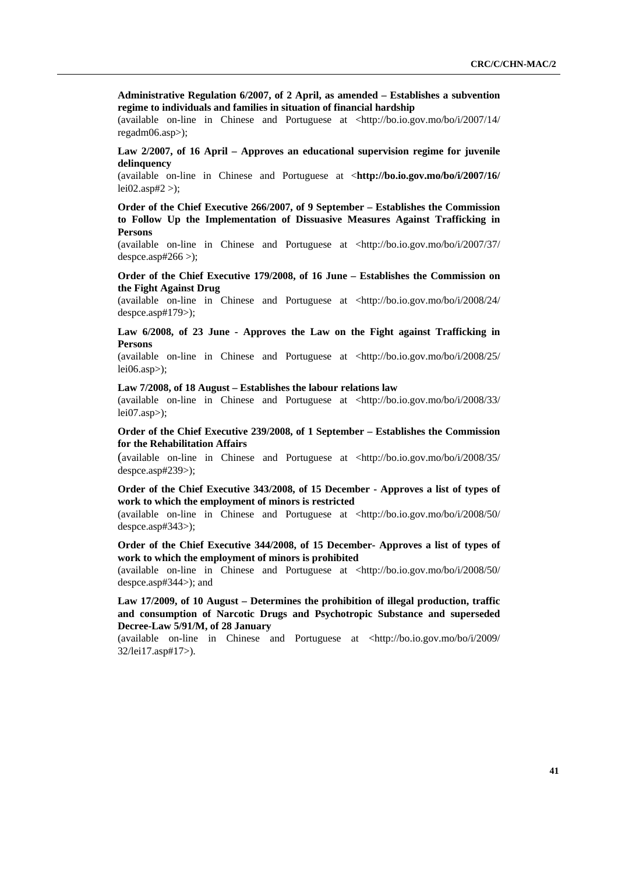**Administrative Regulation 6/2007, of 2 April, as amended – Establishes a subvention regime to individuals and families in situation of financial hardship** 

(available on-line in Chinese and Portuguese at <http://bo.io.gov.mo/bo/i/2007/14/ regadm06.asp>);

#### **Law 2/2007, of 16 April – Approves an educational supervision regime for juvenile delinquency**

(available on-line in Chinese and Portuguese at <**<http://bo.io.gov.mo/bo/i/2007/16/>**  $lei02.$ asp#2 >):

**Order of the Chief Executive 266/2007, of 9 September – Establishes the Commission to Follow Up the Implementation of Dissuasive Measures Against Trafficking in Persons** 

(available on-line in Chinese and Portuguese at <http://bo.io.gov.mo/bo/i/2007/37/ despce.asp#266 $>$ );

**Order of the Chief Executive 179/2008, of 16 June – Establishes the Commission on the Fight Against Drug** 

(available on-line in Chinese and Portuguese at <http://bo.io.gov.mo/bo/i/2008/24/ despce.asp#179>);

#### **Law 6/2008, of 23 June - Approves the Law on the Fight against Trafficking in Persons**

(available on-line in Chinese and Portuguese at <http://bo.io.gov.mo/bo/i/2008/25/ lei06.asp>);

#### **Law 7/2008, of 18 August – Establishes the labour relations law**

(available on-line in Chinese and Portuguese at <http://bo.io.gov.mo/bo/i/2008/33/ lei07.asp>);

**Order of the Chief Executive 239/2008, of 1 September – Establishes the Commission for the Rehabilitation Affairs** 

(available on-line in Chinese and Portuguese at [<http://bo.io.gov.mo/bo/i/2008/35/](http://bo.io.gov.mo/bo/i/2008/35/) despce.asp#239>);

#### **Order of the Chief Executive 343/2008, of 15 December - Approves a list of types of work to which the employment of minors is restricted**

(available on-line in Chinese and Portuguese at <http://bo.io.gov.mo/bo/i/2008/50/ despce.asp#343>);

#### **Order of the Chief Executive 344/2008, of 15 December- Approves a list of types of work to which the employment of minors is prohibited**

(available on-line in Chinese and Portuguese at <http://bo.io.gov.mo/bo/i/2008/50/ despce.asp#344>); and

**Law 17/2009, of 10 August – Determines the prohibition of illegal production, traffic and consumption of Narcotic Drugs and Psychotropic Substance and superseded Decree-Law 5/91/M, of 28 January** 

(available on-line in Chinese and Portuguese at <http://bo.io.gov.mo/bo/i/2009/ 32/lei17.asp#17>).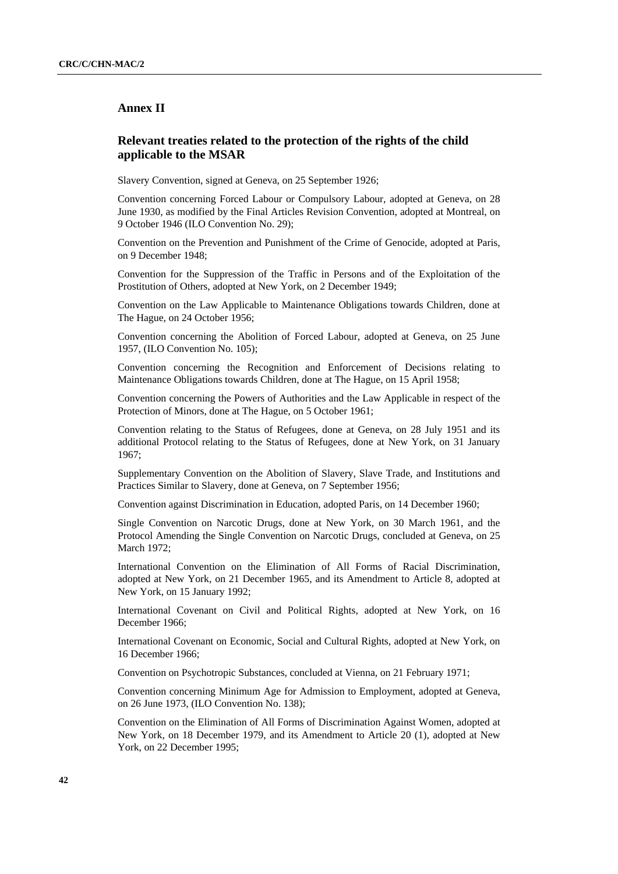# **Annex II**

## **Relevant treaties related to the protection of the rights of the child applicable to the MSAR**

Slavery Convention, signed at Geneva, on 25 September 1926;

Convention concerning Forced Labour or Compulsory Labour, adopted at Geneva, on 28 June 1930, as modified by the Final Articles Revision Convention, adopted at Montreal, on 9 October 1946 (ILO Convention No. 29);

Convention on the Prevention and Punishment of the Crime of Genocide, adopted at Paris, on 9 December 1948;

Convention for the Suppression of the Traffic in Persons and of the Exploitation of the Prostitution of Others, adopted at New York, on 2 December 1949;

Convention on the Law Applicable to Maintenance Obligations towards Children, done at The Hague, on 24 October 1956;

Convention concerning the Abolition of Forced Labour, adopted at Geneva, on 25 June 1957, (ILO Convention No. 105);

Convention concerning the Recognition and Enforcement of Decisions relating to Maintenance Obligations towards Children, done at The Hague, on 15 April 1958;

Convention concerning the Powers of Authorities and the Law Applicable in respect of the Protection of Minors, done at The Hague, on 5 October 1961;

Convention relating to the Status of Refugees, done at Geneva, on 28 July 1951 and its additional Protocol relating to the Status of Refugees, done at New York, on 31 January 1967;

Supplementary Convention on the Abolition of Slavery, Slave Trade, and Institutions and Practices Similar to Slavery, done at Geneva, on 7 September 1956;

Convention against Discrimination in Education, adopted Paris, on 14 December 1960;

Single Convention on Narcotic Drugs, done at New York, on 30 March 1961, and the Protocol Amending the Single Convention on Narcotic Drugs, concluded at Geneva, on 25 March 1972;

International Convention on the Elimination of All Forms of Racial Discrimination, adopted at New York, on 21 December 1965, and its Amendment to Article 8, adopted at New York, on 15 January 1992;

International Covenant on Civil and Political Rights, adopted at New York, on 16 December 1966;

International Covenant on Economic, Social and Cultural Rights, adopted at New York, on 16 December 1966;

Convention on Psychotropic Substances, concluded at Vienna, on 21 February 1971;

Convention concerning Minimum Age for Admission to Employment, adopted at Geneva, on 26 June 1973, (ILO Convention No. 138);

Convention on the Elimination of All Forms of Discrimination Against Women, adopted at New York, on 18 December 1979, and its Amendment to Article 20 (1), adopted at New York, on 22 December 1995;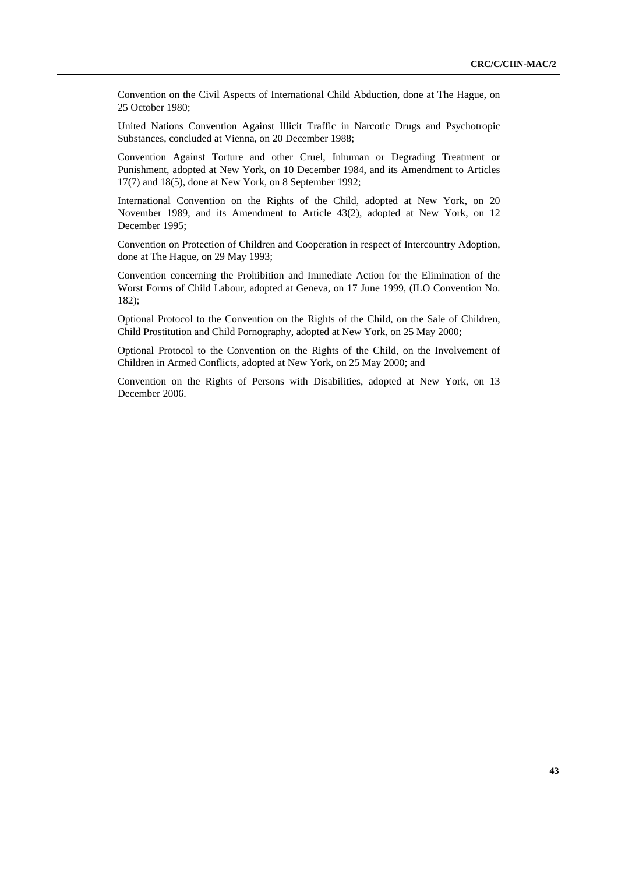Convention on the Civil Aspects of International Child Abduction, done at The Hague, on 25 October 1980;

United Nations Convention Against Illicit Traffic in Narcotic Drugs and Psychotropic Substances, concluded at Vienna, on 20 December 1988;

Convention Against Torture and other Cruel, Inhuman or Degrading Treatment or Punishment, adopted at New York, on 10 December 1984, and its Amendment to Articles 17(7) and 18(5), done at New York, on 8 September 1992;

International Convention on the Rights of the Child, adopted at New York, on 20 November 1989, and its Amendment to Article 43(2), adopted at New York, on 12 December 1995;

Convention on Protection of Children and Cooperation in respect of Intercountry Adoption, done at The Hague, on 29 May 1993;

Convention concerning the Prohibition and Immediate Action for the Elimination of the Worst Forms of Child Labour, adopted at Geneva, on 17 June 1999, (ILO Convention No. 182);

Optional Protocol to the Convention on the Rights of the Child, on the Sale of Children, Child Prostitution and Child Pornography, adopted at New York, on 25 May 2000;

Optional Protocol to the Convention on the Rights of the Child, on the Involvement of Children in Armed Conflicts, adopted at New York, on 25 May 2000; and

Convention on the Rights of Persons with Disabilities, adopted at New York, on 13 December 2006.